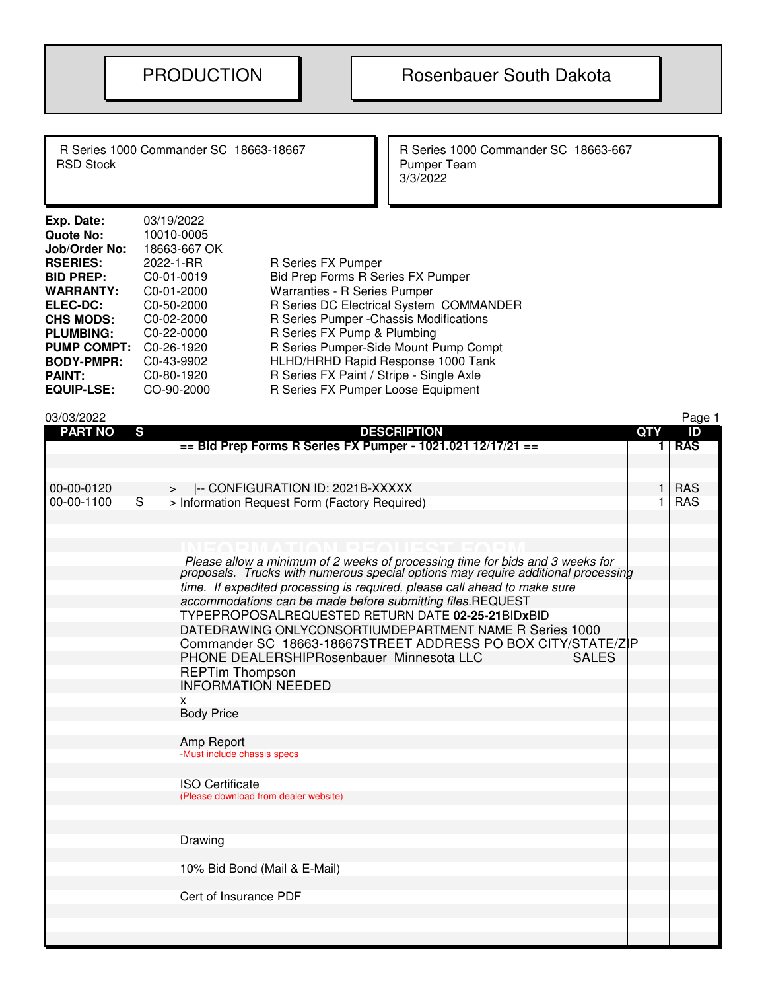R Series 1000 Commander SC 18663-18667<br>RSD Stock Pumper Team

Pumper Team 3/3/2022

| Exp. Date:         | 03/19/2022              |                                          |
|--------------------|-------------------------|------------------------------------------|
| Quote No:          | 10010-0005              |                                          |
| Job/Order No:      | 18663-667 OK            |                                          |
| <b>RSERIES:</b>    | 2022-1-RR               | R Series FX Pumper                       |
| <b>BID PREP:</b>   | C <sub>0</sub> -01-0019 | Bid Prep Forms R Series FX Pumper        |
| <b>WARRANTY:</b>   | C <sub>0</sub> -01-2000 | <b>Warranties - R Series Pumper</b>      |
| <b>ELEC-DC:</b>    | C <sub>0</sub> -50-2000 | R Series DC Electrical System COMMANDER  |
| <b>CHS MODS:</b>   | $C0-02-2000$            | R Series Pumper - Chassis Modifications  |
| <b>PLUMBING:</b>   | C0-22-0000              | R Series FX Pump & Plumbing              |
| <b>PUMP COMPT:</b> | C <sub>0</sub> -26-1920 | R Series Pumper-Side Mount Pump Compt    |
| <b>BODY-PMPR:</b>  | C0-43-9902              | HLHD/HRHD Rapid Response 1000 Tank       |
| <b>PAINT:</b>      | C0-80-1920              | R Series FX Paint / Stripe - Single Axle |
| <b>EQUIP-LSE:</b>  | CO-90-2000              | R Series FX Pumper Loose Equipment       |
|                    |                         |                                          |

| <b>PART NO</b><br>S<br><b>DESCRIPTION</b>                                                                                                                       | <b>QTY</b> | ID                       |
|-----------------------------------------------------------------------------------------------------------------------------------------------------------------|------------|--------------------------|
| == Bid Prep Forms R Series FX Pumper - 1021.021 12/17/21 ==                                                                                                     | 1          | <b>RAS</b>               |
|                                                                                                                                                                 |            |                          |
|                                                                                                                                                                 |            |                          |
| 00-00-0120<br> -- CONFIGURATION ID: 2021B-XXXXX<br>$\geq$<br>00-00-1100<br>S                                                                                    | 1.<br>1.   | <b>RAS</b><br><b>RAS</b> |
| > Information Request Form (Factory Required)                                                                                                                   |            |                          |
|                                                                                                                                                                 |            |                          |
| MTION PEOUEQ                                                                                                                                                    |            |                          |
|                                                                                                                                                                 |            |                          |
| Please allow a minimum of 2 weeks of processing time for bids and 3 weeks for proposals. Trucks with numerous special options may require additional processing |            |                          |
| time. If expedited processing is required, please call ahead to make sure                                                                                       |            |                          |
| accommodations can be made before submitting files.REQUEST                                                                                                      |            |                          |
| TYPEPROPOSALREQUESTED RETURN DATE 02-25-21BIDxBID                                                                                                               |            |                          |
| DATEDRAWING ONLYCONSORTIUMDEPARTMENT NAME R Series 1000                                                                                                         |            |                          |
| Commander SC 18663-18667STREET ADDRESS PO BOX CITY/STATE/ZIP<br>PHONE DEALERSHIPRosenbauer Minnesota LLC<br><b>SALES</b>                                        |            |                          |
| <b>REPTim Thompson</b>                                                                                                                                          |            |                          |
| <b>INFORMATION NEEDED</b>                                                                                                                                       |            |                          |
| X.                                                                                                                                                              |            |                          |
| <b>Body Price</b>                                                                                                                                               |            |                          |
|                                                                                                                                                                 |            |                          |
| Amp Report                                                                                                                                                      |            |                          |
| -Must include chassis specs                                                                                                                                     |            |                          |
| <b>ISO Certificate</b>                                                                                                                                          |            |                          |
| (Please download from dealer website)                                                                                                                           |            |                          |
|                                                                                                                                                                 |            |                          |
|                                                                                                                                                                 |            |                          |
| Drawing                                                                                                                                                         |            |                          |
|                                                                                                                                                                 |            |                          |
| 10% Bid Bond (Mail & E-Mail)                                                                                                                                    |            |                          |
| Cert of Insurance PDF                                                                                                                                           |            |                          |
|                                                                                                                                                                 |            |                          |
|                                                                                                                                                                 |            |                          |
|                                                                                                                                                                 |            |                          |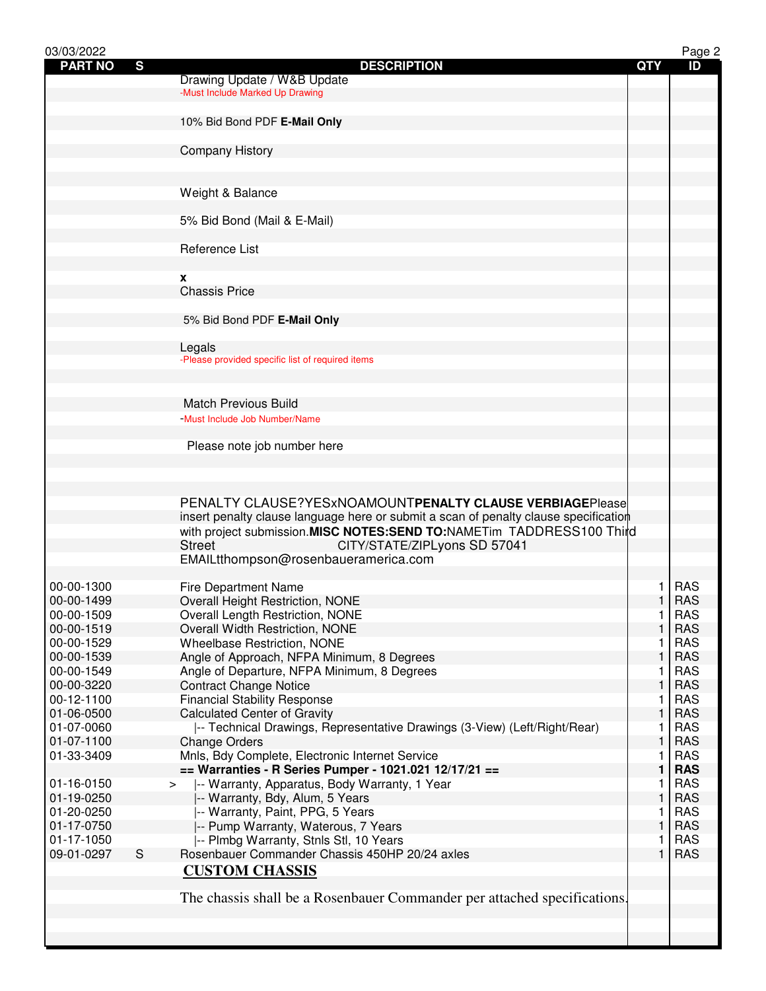| 03/03/2022               |   |                                                                                      |              | Page 2                   |
|--------------------------|---|--------------------------------------------------------------------------------------|--------------|--------------------------|
| <b>PART NO</b>           | S | <b>DESCRIPTION</b>                                                                   | <b>QTY</b>   | ID                       |
|                          |   | Drawing Update / W&B Update<br>-Must Include Marked Up Drawing                       |              |                          |
|                          |   |                                                                                      |              |                          |
|                          |   | 10% Bid Bond PDF E-Mail Only                                                         |              |                          |
|                          |   |                                                                                      |              |                          |
|                          |   | <b>Company History</b>                                                               |              |                          |
|                          |   |                                                                                      |              |                          |
|                          |   |                                                                                      |              |                          |
|                          |   | Weight & Balance                                                                     |              |                          |
|                          |   |                                                                                      |              |                          |
|                          |   | 5% Bid Bond (Mail & E-Mail)                                                          |              |                          |
|                          |   |                                                                                      |              |                          |
|                          |   | Reference List                                                                       |              |                          |
|                          |   | x                                                                                    |              |                          |
|                          |   | <b>Chassis Price</b>                                                                 |              |                          |
|                          |   |                                                                                      |              |                          |
|                          |   | 5% Bid Bond PDF E-Mail Only                                                          |              |                          |
|                          |   |                                                                                      |              |                          |
|                          |   | Legals                                                                               |              |                          |
|                          |   | -Please provided specific list of required items                                     |              |                          |
|                          |   |                                                                                      |              |                          |
|                          |   |                                                                                      |              |                          |
|                          |   | <b>Match Previous Build</b>                                                          |              |                          |
|                          |   | -Must Include Job Number/Name                                                        |              |                          |
|                          |   | Please note job number here                                                          |              |                          |
|                          |   |                                                                                      |              |                          |
|                          |   |                                                                                      |              |                          |
|                          |   |                                                                                      |              |                          |
|                          |   | PENALTY CLAUSE?YESxNOAMOUNTPENALTY CLAUSE VERBIAGEPlease                             |              |                          |
|                          |   | insert penalty clause language here or submit a scan of penalty clause specification |              |                          |
|                          |   | with project submission.MISC NOTES:SEND TO:NAMETim TADDRESS100 Third                 |              |                          |
|                          |   | <b>Street</b><br>CITY/STATE/ZIPLyons SD 57041                                        |              |                          |
|                          |   | EMAILtthompson@rosenbaueramerica.com                                                 |              |                          |
|                          |   |                                                                                      |              |                          |
| 00-00-1300<br>00-00-1499 |   | Fire Department Name<br>Overall Height Restriction, NONE                             | 1.           | <b>RAS</b><br><b>RAS</b> |
| 00-00-1509               |   | Overall Length Restriction, NONE                                                     | 1            | <b>RAS</b>               |
| 00-00-1519               |   | Overall Width Restriction, NONE                                                      | 1            | <b>RAS</b>               |
| 00-00-1529               |   | <b>Wheelbase Restriction, NONE</b>                                                   | 1            | <b>RAS</b>               |
| 00-00-1539               |   | Angle of Approach, NFPA Minimum, 8 Degrees                                           | 1            | <b>RAS</b>               |
| 00-00-1549               |   | Angle of Departure, NFPA Minimum, 8 Degrees                                          | 1            | <b>RAS</b>               |
| 00-00-3220               |   | <b>Contract Change Notice</b>                                                        | 1            | <b>RAS</b>               |
| 00-12-1100               |   | <b>Financial Stability Response</b>                                                  | 1            | <b>RAS</b>               |
| 01-06-0500               |   | <b>Calculated Center of Gravity</b>                                                  | $\mathbf{1}$ | <b>RAS</b>               |
| 01-07-0060               |   | -- Technical Drawings, Representative Drawings (3-View) (Left/Right/Rear)            | 1            | <b>RAS</b>               |
| 01-07-1100               |   | <b>Change Orders</b><br>Mnls, Bdy Complete, Electronic Internet Service              | 1            | <b>RAS</b><br><b>RAS</b> |
| 01-33-3409               |   | == Warranties - R Series Pumper - 1021.021 12/17/21 ==                               | 1<br>1       | <b>RAS</b>               |
| 01-16-0150               |   | -- Warranty, Apparatus, Body Warranty, 1 Year<br>$\geq$                              | 1            | <b>RAS</b>               |
| 01-19-0250               |   | -- Warranty, Bdy, Alum, 5 Years                                                      | 1            | <b>RAS</b>               |
| 01-20-0250               |   | -- Warranty, Paint, PPG, 5 Years                                                     | 1            | <b>RAS</b>               |
| 01-17-0750               |   | -- Pump Warranty, Waterous, 7 Years                                                  | $\mathbf{1}$ | <b>RAS</b>               |
| 01-17-1050               |   | -- Plmbg Warranty, Stnls Stl, 10 Years                                               | 1            | <b>RAS</b>               |
| 09-01-0297               | S | Rosenbauer Commander Chassis 450HP 20/24 axles                                       | $\mathbf{1}$ | <b>RAS</b>               |
|                          |   | <b>CUSTOM CHASSIS</b>                                                                |              |                          |
|                          |   |                                                                                      |              |                          |
|                          |   | The chassis shall be a Rosenbauer Commander per attached specifications.             |              |                          |
|                          |   |                                                                                      |              |                          |
|                          |   |                                                                                      |              |                          |
|                          |   |                                                                                      |              |                          |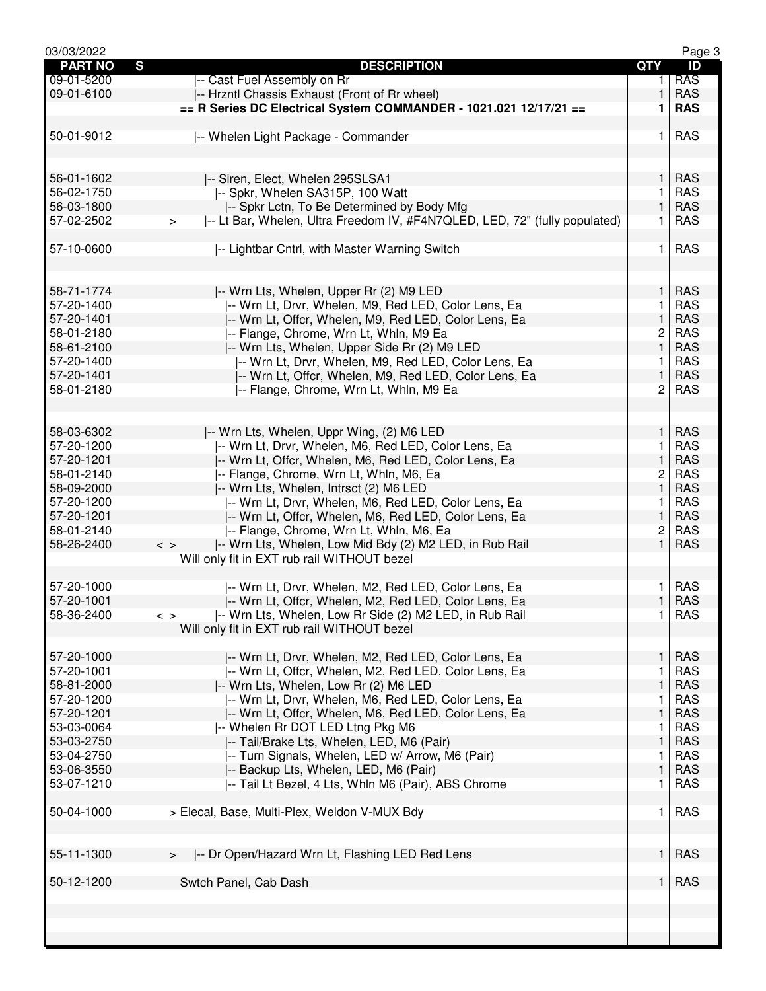| 03/03/2022     |                                                                                      |                         | Page 3     |
|----------------|--------------------------------------------------------------------------------------|-------------------------|------------|
| <b>PART NO</b> | S<br><b>DESCRIPTION</b>                                                              | <b>QTY</b>              | ID         |
| 09-01-5200     | -- Cast Fuel Assembly on Rr                                                          | 1.                      | <b>RAS</b> |
| 09-01-6100     | -- Hrzntl Chassis Exhaust (Front of Rr wheel)                                        | 1                       | <b>RAS</b> |
|                |                                                                                      |                         |            |
|                | == R Series DC Electrical System COMMANDER - 1021.021 12/17/21 ==                    | 1                       | <b>RAS</b> |
|                |                                                                                      |                         |            |
| 50-01-9012     | -- Whelen Light Package - Commander                                                  | 1.                      | <b>RAS</b> |
|                |                                                                                      |                         |            |
|                |                                                                                      |                         |            |
| 56-01-1602     | -- Siren, Elect, Whelen 295SLSA1                                                     | $\mathbf{1}$            | <b>RAS</b> |
|                |                                                                                      |                         |            |
| 56-02-1750     | -- Spkr, Whelen SA315P, 100 Watt                                                     | 1                       | <b>RAS</b> |
| 56-03-1800     | -- Spkr Lctn, To Be Determined by Body Mfg                                           | $\mathbf{1}$            | <b>RAS</b> |
| 57-02-2502     | -- Lt Bar, Whelen, Ultra Freedom IV, #F4N7QLED, LED, 72" (fully populated)<br>$\geq$ | 1.                      | <b>RAS</b> |
|                |                                                                                      |                         |            |
| 57-10-0600     | -- Lightbar Cntrl, with Master Warning Switch                                        | 1                       | RAS        |
|                |                                                                                      |                         |            |
|                |                                                                                      |                         |            |
|                |                                                                                      |                         |            |
| 58-71-1774     | -- Wrn Lts, Whelen, Upper Rr (2) M9 LED                                              | 1                       | <b>RAS</b> |
| 57-20-1400     | -- Wrn Lt, Drvr, Whelen, M9, Red LED, Color Lens, Ea                                 | 1                       | <b>RAS</b> |
| 57-20-1401     | -- Wrn Lt, Offcr, Whelen, M9, Red LED, Color Lens, Ea                                | 1                       | <b>RAS</b> |
| 58-01-2180     | -- Flange, Chrome, Wrn Lt, Whln, M9 Ea                                               | $\overline{\mathbf{c}}$ | <b>RAS</b> |
|                |                                                                                      |                         |            |
| 58-61-2100     | -- Wrn Lts, Whelen, Upper Side Rr (2) M9 LED                                         | $\mathbf{1}$            | <b>RAS</b> |
| 57-20-1400     | -- Wrn Lt, Drvr, Whelen, M9, Red LED, Color Lens, Ea                                 | 1.                      | <b>RAS</b> |
| 57-20-1401     | -- Wrn Lt, Offcr, Whelen, M9, Red LED, Color Lens, Ea                                | $\mathbf{1}$            | <b>RAS</b> |
| 58-01-2180     | -- Flange, Chrome, Wrn Lt, Whln, M9 Ea                                               | $\overline{c}$          | <b>RAS</b> |
|                |                                                                                      |                         |            |
|                |                                                                                      |                         |            |
|                |                                                                                      |                         |            |
| 58-03-6302     | -- Wrn Lts, Whelen, Uppr Wing, (2) M6 LED                                            | 1                       | <b>RAS</b> |
| 57-20-1200     | -- Wrn Lt, Drvr, Whelen, M6, Red LED, Color Lens, Ea                                 | 1                       | <b>RAS</b> |
| 57-20-1201     | -- Wrn Lt, Offcr, Whelen, M6, Red LED, Color Lens, Ea                                | $\mathbf{1}$            | <b>RAS</b> |
| 58-01-2140     | -- Flange, Chrome, Wrn Lt, Whln, M6, Ea                                              | $\overline{c}$          | <b>RAS</b> |
| 58-09-2000     | -- Wrn Lts, Whelen, Intrsct (2) M6 LED                                               | $\mathbf{1}$            | <b>RAS</b> |
|                |                                                                                      |                         |            |
| 57-20-1200     | -- Wrn Lt, Drvr, Whelen, M6, Red LED, Color Lens, Ea                                 | 1                       | <b>RAS</b> |
| 57-20-1201     | -- Wrn Lt, Offcr, Whelen, M6, Red LED, Color Lens, Ea                                | $\mathbf{1}$            | <b>RAS</b> |
| 58-01-2140     | -- Flange, Chrome, Wrn Lt, Whln, M6, Ea                                              | $\overline{c}$          | <b>RAS</b> |
| 58-26-2400     | -- Wrn Lts, Whelen, Low Mid Bdy (2) M2 LED, in Rub Rail<br>$\langle$ >               | 1                       | <b>RAS</b> |
|                | Will only fit in EXT rub rail WITHOUT bezel                                          |                         |            |
|                |                                                                                      |                         |            |
|                |                                                                                      |                         |            |
| 57-20-1000     | -- Wrn Lt, Drvr, Whelen, M2, Red LED, Color Lens, Ea                                 | 1                       | <b>RAS</b> |
| 57-20-1001     | -- Wrn Lt, Offcr, Whelen, M2, Red LED, Color Lens, Ea                                | $\mathbf{1}$            | <b>RAS</b> |
| 58-36-2400     | -- Wrn Lts, Whelen, Low Rr Side (2) M2 LED, in Rub Rail<br>$\langle$ >               | 1.                      | <b>RAS</b> |
|                | Will only fit in EXT rub rail WITHOUT bezel                                          |                         |            |
|                |                                                                                      |                         |            |
| 57-20-1000     | -- Wrn Lt, Drvr, Whelen, M2, Red LED, Color Lens, Ea                                 | 1                       | <b>RAS</b> |
|                |                                                                                      |                         |            |
| 57-20-1001     | -- Wrn Lt, Offcr, Whelen, M2, Red LED, Color Lens, Ea                                | 1                       | <b>RAS</b> |
| 58-81-2000     | -- Wrn Lts, Whelen, Low Rr (2) M6 LED                                                | 1                       | <b>RAS</b> |
| 57-20-1200     | -- Wrn Lt, Drvr, Whelen, M6, Red LED, Color Lens, Ea                                 | 1                       | <b>RAS</b> |
| 57-20-1201     | -- Wrn Lt, Offcr, Whelen, M6, Red LED, Color Lens, Ea                                | $\mathbf{1}$            | <b>RAS</b> |
| 53-03-0064     | -- Whelen Rr DOT LED Ltng Pkg M6                                                     | 1                       | <b>RAS</b> |
| 53-03-2750     | -- Tail/Brake Lts, Whelen, LED, M6 (Pair)                                            | $\mathbf{1}$            | <b>RAS</b> |
|                |                                                                                      |                         |            |
| 53-04-2750     | -- Turn Signals, Whelen, LED w/ Arrow, M6 (Pair)                                     | 1                       | <b>RAS</b> |
| 53-06-3550     | -- Backup Lts, Whelen, LED, M6 (Pair)                                                | 1                       | <b>RAS</b> |
| 53-07-1210     | -- Tail Lt Bezel, 4 Lts, Whln M6 (Pair), ABS Chrome                                  | 1                       | <b>RAS</b> |
|                |                                                                                      |                         |            |
| 50-04-1000     | > Elecal, Base, Multi-Plex, Weldon V-MUX Bdy                                         | 1.                      | <b>RAS</b> |
|                |                                                                                      |                         |            |
|                |                                                                                      |                         |            |
|                |                                                                                      |                         |            |
| 55-11-1300     | -- Dr Open/Hazard Wrn Lt, Flashing LED Red Lens<br>$\geq$                            | 1                       | <b>RAS</b> |
|                |                                                                                      |                         |            |
| 50-12-1200     | Swtch Panel, Cab Dash                                                                | 1.                      | <b>RAS</b> |
|                |                                                                                      |                         |            |
|                |                                                                                      |                         |            |
|                |                                                                                      |                         |            |
|                |                                                                                      |                         |            |
|                |                                                                                      |                         |            |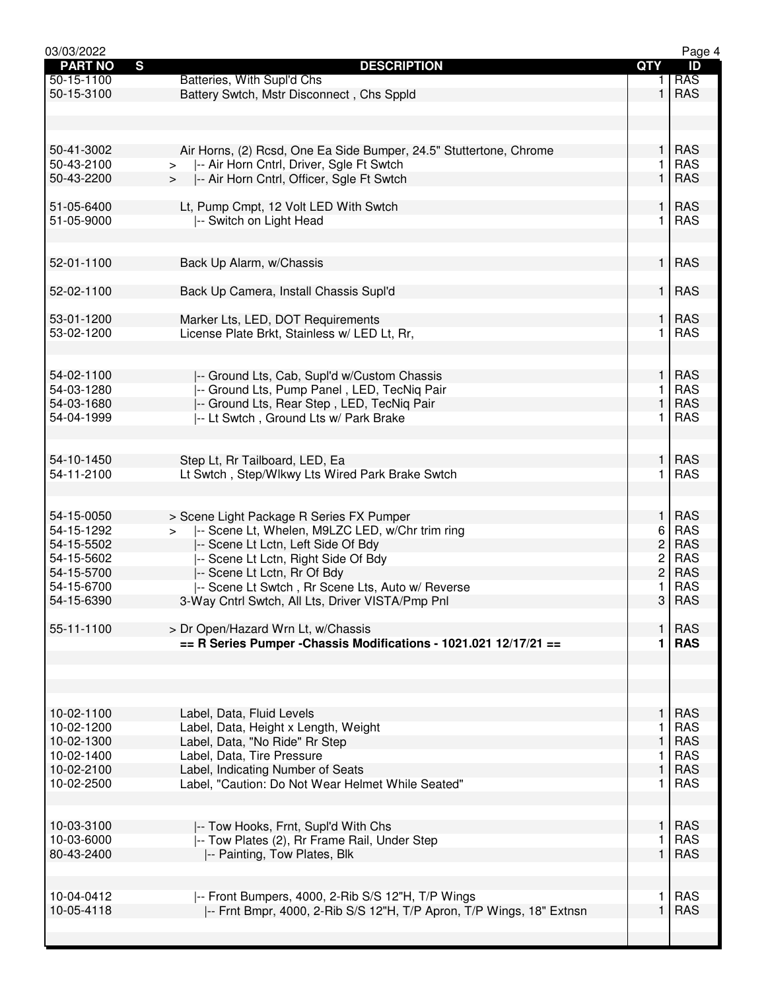| 03/03/2022     |                                                                      |                | Page 4     |
|----------------|----------------------------------------------------------------------|----------------|------------|
| <b>PART NO</b> | $\mathbf{s}$<br><b>DESCRIPTION</b>                                   | <b>QTY</b>     | ID         |
| 50-15-1100     | Batteries, With Supl'd Chs                                           | 1.             | <b>RAS</b> |
| 50-15-3100     | Battery Swtch, Mstr Disconnect, Chs Sppld                            | $\mathbf{1}$   | <b>RAS</b> |
|                |                                                                      |                |            |
|                |                                                                      |                |            |
|                |                                                                      |                |            |
| 50-41-3002     | Air Horns, (2) Rcsd, One Ea Side Bumper, 24.5" Stuttertone, Chrome   | 1              | <b>RAS</b> |
| 50-43-2100     | -- Air Horn Cntrl, Driver, Sgle Ft Swtch<br>$\geq$                   | 1              | <b>RAS</b> |
|                |                                                                      |                |            |
| 50-43-2200     | -- Air Horn Cntrl, Officer, Sgle Ft Swtch<br>$\geq$                  | $\mathbf{1}$   | <b>RAS</b> |
|                |                                                                      |                |            |
| 51-05-6400     | Lt, Pump Cmpt, 12 Volt LED With Swtch                                | 1              | <b>RAS</b> |
| 51-05-9000     | -- Switch on Light Head                                              | 1              | <b>RAS</b> |
|                |                                                                      |                |            |
|                |                                                                      |                |            |
| 52-01-1100     | Back Up Alarm, w/Chassis                                             | 1              | <b>RAS</b> |
|                |                                                                      |                |            |
|                |                                                                      | $\mathbf{1}$   |            |
| 52-02-1100     | Back Up Camera, Install Chassis Supl'd                               |                | <b>RAS</b> |
|                |                                                                      |                |            |
| 53-01-1200     | Marker Lts, LED, DOT Requirements                                    | 1              | <b>RAS</b> |
| 53-02-1200     | License Plate Brkt, Stainless w/ LED Lt, Rr,                         | 1              | <b>RAS</b> |
|                |                                                                      |                |            |
|                |                                                                      |                |            |
| 54-02-1100     | -- Ground Lts, Cab, Supl'd w/Custom Chassis                          | 1              | <b>RAS</b> |
|                |                                                                      |                |            |
| 54-03-1280     | -- Ground Lts, Pump Panel, LED, TecNiq Pair                          | 1              | <b>RAS</b> |
| 54-03-1680     | -- Ground Lts, Rear Step, LED, TecNiq Pair                           | 1              | <b>RAS</b> |
| 54-04-1999     | -- Lt Swtch, Ground Lts w/ Park Brake                                | 1              | <b>RAS</b> |
|                |                                                                      |                |            |
|                |                                                                      |                |            |
| 54-10-1450     | Step Lt, Rr Tailboard, LED, Ea                                       | 1              | <b>RAS</b> |
| 54-11-2100     | Lt Swtch, Step/Wlkwy Lts Wired Park Brake Swtch                      | 1              | <b>RAS</b> |
|                |                                                                      |                |            |
|                |                                                                      |                |            |
|                |                                                                      |                |            |
| 54-15-0050     | > Scene Light Package R Series FX Pumper                             | $\mathbf{1}$   | <b>RAS</b> |
| 54-15-1292     | -- Scene Lt, Whelen, M9LZC LED, w/Chr trim ring                      | 6              | <b>RAS</b> |
| 54-15-5502     | -- Scene Lt Lctn, Left Side Of Bdy                                   | $\overline{c}$ | <b>RAS</b> |
| 54-15-5602     | -- Scene Lt Lctn, Right Side Of Bdy                                  | $\overline{c}$ | <b>RAS</b> |
| 54-15-5700     | -- Scene Lt Lctn, Rr Of Bdy                                          | $\overline{c}$ | <b>RAS</b> |
|                |                                                                      |                | <b>RAS</b> |
| 54-15-6700     | -- Scene Lt Swtch, Rr Scene Lts, Auto w/ Reverse                     | 1              |            |
| 54-15-6390     | 3-Way Cntrl Swtch, All Lts, Driver VISTA/Pmp Pnl                     | 3 <sup>1</sup> | RAS        |
|                |                                                                      |                |            |
| 55-11-1100     | > Dr Open/Hazard Wrn Lt, w/Chassis                                   | 1              | <b>RAS</b> |
|                | == R Series Pumper - Chassis Modifications - 1021.021 12/17/21 ==    | 1              | <b>RAS</b> |
|                |                                                                      |                |            |
|                |                                                                      |                |            |
|                |                                                                      |                |            |
|                |                                                                      |                |            |
|                |                                                                      |                |            |
| 10-02-1100     | Label, Data, Fluid Levels                                            | 1              | <b>RAS</b> |
| 10-02-1200     | Label, Data, Height x Length, Weight                                 | 1              | <b>RAS</b> |
| 10-02-1300     | Label, Data, "No Ride" Rr Step                                       | 1              | <b>RAS</b> |
| 10-02-1400     | Label, Data, Tire Pressure                                           | 1              | <b>RAS</b> |
| 10-02-2100     | Label, Indicating Number of Seats                                    | 1              | <b>RAS</b> |
| 10-02-2500     | Label, "Caution: Do Not Wear Helmet While Seated"                    | 1              | <b>RAS</b> |
|                |                                                                      |                |            |
|                |                                                                      |                |            |
|                |                                                                      |                |            |
| 10-03-3100     | -- Tow Hooks, Frnt, Supl'd With Chs                                  | 1              | <b>RAS</b> |
| 10-03-6000     | -- Tow Plates (2), Rr Frame Rail, Under Step                         | 1              | <b>RAS</b> |
| 80-43-2400     | -- Painting, Tow Plates, Blk                                         | $\mathbf{1}$   | <b>RAS</b> |
|                |                                                                      |                |            |
|                |                                                                      |                |            |
| 10-04-0412     | -- Front Bumpers, 4000, 2-Rib S/S 12"H, T/P Wings                    | 1              | <b>RAS</b> |
|                |                                                                      |                | <b>RAS</b> |
| 10-05-4118     | -- Frnt Bmpr, 4000, 2-Rib S/S 12"H, T/P Apron, T/P Wings, 18" Extnsn | 1              |            |
|                |                                                                      |                |            |
|                |                                                                      |                |            |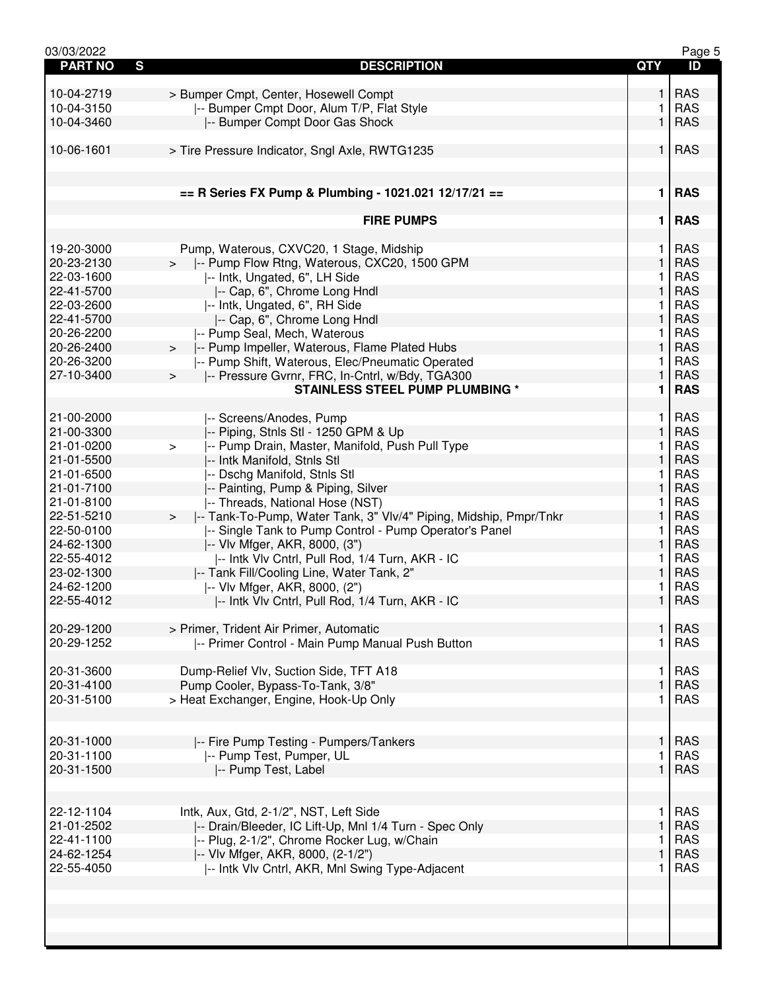| 03/03/2022          |                                                                             |              | Page 5     |
|---------------------|-----------------------------------------------------------------------------|--------------|------------|
| S<br><b>PART NO</b> | <b>DESCRIPTION</b>                                                          | <b>QTY</b>   | ID         |
|                     |                                                                             |              |            |
| 10-04-2719          | > Bumper Cmpt, Center, Hosewell Compt                                       | 1            | <b>RAS</b> |
| 10-04-3150          | -- Bumper Cmpt Door, Alum T/P, Flat Style                                   | 1            | <b>RAS</b> |
| 10-04-3460          | -- Bumper Compt Door Gas Shock                                              | $\mathbf{1}$ | <b>RAS</b> |
|                     |                                                                             |              |            |
|                     |                                                                             |              |            |
| 10-06-1601          | > Tire Pressure Indicator, Sngl Axle, RWTG1235                              | 1            | <b>RAS</b> |
|                     |                                                                             |              |            |
|                     |                                                                             |              |            |
|                     | $==$ R Series FX Pump & Plumbing - 1021.021 12/17/21 ==                     | 1            | <b>RAS</b> |
|                     |                                                                             |              |            |
|                     | <b>FIRE PUMPS</b>                                                           | 1            | <b>RAS</b> |
|                     |                                                                             |              |            |
| 19-20-3000          | Pump, Waterous, CXVC20, 1 Stage, Midship                                    | 1            | <b>RAS</b> |
| 20-23-2130          | >  -- Pump Flow Rtng, Waterous, CXC20, 1500 GPM                             | 1            | <b>RAS</b> |
| 22-03-1600          | -- Intk, Ungated, 6", LH Side                                               | 1            | <b>RAS</b> |
| 22-41-5700          | -- Cap, 6", Chrome Long Hndl                                                | 1            | <b>RAS</b> |
|                     |                                                                             |              | <b>RAS</b> |
| 22-03-2600          | -- Intk, Ungated, 6", RH Side                                               | 1            |            |
| 22-41-5700          | -- Cap, 6", Chrome Long Hndl                                                | 1            | <b>RAS</b> |
| 20-26-2200          | -- Pump Seal, Mech, Waterous                                                | 1            | <b>RAS</b> |
| 20-26-2400          | -- Pump Impeller, Waterous, Flame Plated Hubs<br>>                          | $\mathbf{1}$ | <b>RAS</b> |
| 20-26-3200          | -- Pump Shift, Waterous, Elec/Pneumatic Operated                            | 1            | <b>RAS</b> |
| 27-10-3400          | -- Pressure Gvrnr, FRC, In-Cntrl, w/Bdy, TGA300<br>$\geq$                   | $\mathbf{1}$ | <b>RAS</b> |
|                     | <b>STAINLESS STEEL PUMP PLUMBING *</b>                                      | 1            | <b>RAS</b> |
|                     |                                                                             |              |            |
| 21-00-2000          | -- Screens/Anodes, Pump                                                     | 1            | <b>RAS</b> |
| 21-00-3300          | -- Piping, Stnls Stl - 1250 GPM & Up                                        | 1            | <b>RAS</b> |
| 21-01-0200          | -- Pump Drain, Master, Manifold, Push Pull Type<br>$\, >$                   | 1            | <b>RAS</b> |
| 21-01-5500          |                                                                             | 1            | <b>RAS</b> |
|                     | -- Intk Manifold, Stnls Stl                                                 |              |            |
| 21-01-6500          | -- Dschg Manifold, Stnls Stl                                                | 1            | <b>RAS</b> |
| 21-01-7100          | -- Painting, Pump & Piping, Silver                                          | $\mathbf{1}$ | <b>RAS</b> |
| 21-01-8100          | -- Threads, National Hose (NST)                                             | 1            | <b>RAS</b> |
| 22-51-5210          | -- Tank-To-Pump, Water Tank, 3" Vlv/4" Piping, Midship, Pmpr/Tnkr<br>$\geq$ | 1            | <b>RAS</b> |
| 22-50-0100          | -- Single Tank to Pump Control - Pump Operator's Panel                      | 1            | <b>RAS</b> |
| 24-62-1300          | -- Vlv Mfger, AKR, 8000, (3")                                               | 1            | <b>RAS</b> |
| 22-55-4012          | -- Intk VIv Cntrl, Pull Rod, 1/4 Turn, AKR - IC                             | 1            | <b>RAS</b> |
| 23-02-1300          | -- Tank Fill/Cooling Line, Water Tank, 2"                                   | $\mathbf{1}$ | <b>RAS</b> |
| 24-62-1200          | -- Vlv Mfger, AKR, 8000, (2")                                               | 1            | <b>RAS</b> |
| 22-55-4012          | -- Intk VIv Cntrl, Pull Rod, 1/4 Turn, AKR - IC                             | 1            | <b>RAS</b> |
|                     |                                                                             |              |            |
| 20-29-1200          | > Primer, Trident Air Primer, Automatic                                     | $\mathbf{1}$ | <b>RAS</b> |
|                     |                                                                             |              |            |
| 20-29-1252          | -- Primer Control - Main Pump Manual Push Button                            | 1.           | <b>RAS</b> |
|                     |                                                                             |              |            |
| 20-31-3600          | Dump-Relief Vlv, Suction Side, TFT A18                                      | 1            | <b>RAS</b> |
| 20-31-4100          | Pump Cooler, Bypass-To-Tank, 3/8"                                           | 1            | <b>RAS</b> |
| 20-31-5100          | > Heat Exchanger, Engine, Hook-Up Only                                      | 1.           | <b>RAS</b> |
|                     |                                                                             |              |            |
|                     |                                                                             |              |            |
| 20-31-1000          | -- Fire Pump Testing - Pumpers/Tankers                                      | 1            | <b>RAS</b> |
| 20-31-1100          | -- Pump Test, Pumper, UL                                                    | 1            | <b>RAS</b> |
| 20-31-1500          | -- Pump Test, Label                                                         | 1            | <b>RAS</b> |
|                     |                                                                             |              |            |
|                     |                                                                             |              |            |
|                     |                                                                             |              |            |
| 22-12-1104          | Intk, Aux, Gtd, 2-1/2", NST, Left Side                                      | 1            | <b>RAS</b> |
| 21-01-2502          | -- Drain/Bleeder, IC Lift-Up, Mnl 1/4 Turn - Spec Only                      | $\mathbf{1}$ | <b>RAS</b> |
| 22-41-1100          | -- Plug, 2-1/2", Chrome Rocker Lug, w/Chain                                 | 1.           | <b>RAS</b> |
| 24-62-1254          | -- Vlv Mfger, AKR, 8000, (2-1/2")                                           | 1            | <b>RAS</b> |
| 22-55-4050          | -- Intk VIv Cntrl, AKR, Mnl Swing Type-Adjacent                             | 1.           | <b>RAS</b> |
|                     |                                                                             |              |            |
|                     |                                                                             |              |            |
|                     |                                                                             |              |            |
|                     |                                                                             |              |            |
|                     |                                                                             |              |            |
|                     |                                                                             |              |            |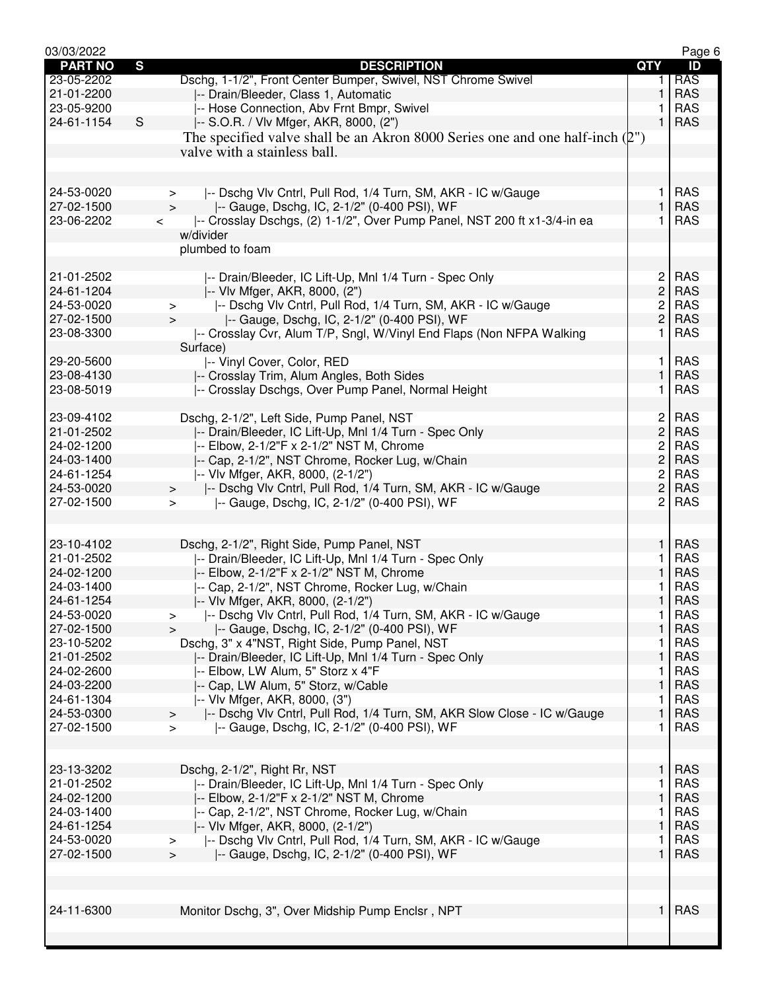| <b>QTY</b><br><b>RAS</b><br>Dschg, 1-1/2", Front Center Bumper, Swivel, NST Chrome Swivel<br>23-05-2202<br>1.<br><b>RAS</b><br>21-01-2200<br>1<br>-- Drain/Bleeder, Class 1, Automatic<br><b>RAS</b><br>23-05-9200<br>-- Hose Connection, Abv Frnt Bmpr, Swivel<br>S<br><b>RAS</b><br>24-61-1154<br>1<br> -- S.O.R. / Vlv Mfger, AKR, 8000, (2")<br>The specified valve shall be an Akron 8000 Series one and one half-inch $(\mathcal{L}^{\prime\prime})$<br>valve with a stainless ball.<br>-- Dschg Vlv Cntrl, Pull Rod, 1/4 Turn, SM, AKR - IC w/Gauge<br><b>RAS</b><br>24-53-0020<br>1<br>$\geq$<br>$\mathbf{1}$<br><b>RAS</b><br>27-02-1500<br>-- Gauge, Dschg, IC, 2-1/2" (0-400 PSI), WF<br>$\geq$<br>-- Crosslay Dschgs, (2) 1-1/2", Over Pump Panel, NST 200 ft x1-3/4-in ea<br>23-06-2202<br><b>RAS</b><br>1.<br>$\overline{\phantom{0}}$<br>w/divider<br>plumbed to foam<br>$\overline{c}$<br><b>RAS</b><br>21-01-2502<br> -- Drain/Bleeder, IC Lift-Up, Mnl 1/4 Turn - Spec Only<br>$\overline{c}$<br>24-61-1204<br><b>RAS</b><br>-- Vlv Mfger, AKR, 8000, (2")<br> -- Dschg Vlv Cntrl, Pull Rod, 1/4 Turn, SM, AKR - IC w/Gauge<br>$\overline{c}$<br><b>RAS</b><br>24-53-0020<br>$\, > \,$<br>$\overline{c}$<br><b>RAS</b><br>27-02-1500<br>-- Gauge, Dschg, IC, 2-1/2" (0-400 PSI), WF<br>$\geq$<br>23-08-3300<br>-- Crosslay Cvr, Alum T/P, Sngl, W/Vinyl End Flaps (Non NFPA Walking<br><b>RAS</b><br>1<br>Surface)<br>-- Vinyl Cover, Color, RED<br><b>RAS</b><br>29-20-5600<br>1<br><b>RAS</b><br>23-08-4130<br>1<br>-- Crosslay Trim, Alum Angles, Both Sides<br><b>RAS</b><br>23-08-5019<br>-- Crosslay Dschgs, Over Pump Panel, Normal Height<br>1<br>Dschg, 2-1/2", Left Side, Pump Panel, NST<br>$\mathbf{2}$<br><b>RAS</b><br>23-09-4102<br>$\overline{c}$<br><b>RAS</b><br>21-01-2502<br>-- Drain/Bleeder, IC Lift-Up, Mnl 1/4 Turn - Spec Only<br>$\overline{c}$<br><b>RAS</b><br>24-02-1200<br> -- Elbow, 2-1/2"F x 2-1/2" NST M, Chrome<br>$\overline{c}$<br><b>RAS</b><br>24-03-1400<br>-- Cap, 2-1/2", NST Chrome, Rocker Lug, w/Chain<br><b>RAS</b><br>24-61-1254<br>-- Vlv Mfger, AKR, 8000, (2-1/2")<br>2<br>$\overline{c}$<br><b>RAS</b><br>24-53-0020<br>-- Dschg Vlv Cntrl, Pull Rod, 1/4 Turn, SM, AKR - IC w/Gauge<br>$\geq$<br>2<br><b>RAS</b><br>27-02-1500<br>-- Gauge, Dschg, IC, 2-1/2" (0-400 PSI), WF<br>$\geq$<br>1<br><b>RAS</b><br>23-10-4102<br>Dschg, 2-1/2", Right Side, Pump Panel, NST<br>21-01-2502<br>-- Drain/Bleeder, IC Lift-Up, Mnl 1/4 Turn - Spec Only<br><b>RAS</b><br>1<br>24-02-1200<br>-- Elbow, 2-1/2"F x 2-1/2" NST M, Chrome<br>1<br><b>RAS</b><br>24-03-1400<br>-- Cap, 2-1/2", NST Chrome, Rocker Lug, w/Chain<br><b>RAS</b><br>1<br>$\mathbf{1}$<br><b>RAS</b><br>24-61-1254<br>-- VIv Mfger, AKR, 8000, (2-1/2")<br><b>RAS</b><br>24-53-0020<br>-- Dschg Vlv Cntrl, Pull Rod, 1/4 Turn, SM, AKR - IC w/Gauge<br>1<br>><br>$\mathbf{1}$<br>27-02-1500<br>-- Gauge, Dschg, IC, 2-1/2" (0-400 PSI), WF<br><b>RAS</b><br>Dschg, 3" x 4"NST, Right Side, Pump Panel, NST<br><b>RAS</b><br>23-10-5202<br>1<br>$\mathbf{1}$<br><b>RAS</b><br>21-01-2502<br>-- Drain/Bleeder, IC Lift-Up, Mnl 1/4 Turn - Spec Only<br>24-02-2600<br>-- Elbow, LW Alum, 5" Storz x 4"F<br><b>RAS</b><br>1<br>24-03-2200<br>-- Cap, LW Alum, 5" Storz, w/Cable<br>1<br><b>RAS</b><br>24-61-1304<br><b>RAS</b><br>-- VIv Mfger, AKR, 8000, (3")<br>1<br><b>RAS</b><br>24-53-0300<br>-- Dschg Vlv Cntrl, Pull Rod, 1/4 Turn, SM, AKR Slow Close - IC w/Gauge<br>1<br>$\geq$<br><b>RAS</b><br>27-02-1500<br>-- Gauge, Dschg, IC, 2-1/2" (0-400 PSI), WF<br>1.<br>$\geq$<br>$\mathbf{1}$<br>23-13-3202<br><b>RAS</b><br>Dschg, 2-1/2", Right Rr, NST<br>21-01-2502<br>-- Drain/Bleeder, IC Lift-Up, Mnl 1/4 Turn - Spec Only<br><b>RAS</b><br>1<br>24-02-1200<br>1<br><b>RAS</b><br>-- Elbow, 2-1/2"F x 2-1/2" NST M, Chrome<br>24-03-1400<br><b>RAS</b><br>-- Cap, 2-1/2", NST Chrome, Rocker Lug, w/Chain<br>1<br><b>RAS</b><br>24-61-1254<br>1<br>-- Vlv Mfger, AKR, 8000, (2-1/2")<br>-- Dschg Vlv Cntrl, Pull Rod, 1/4 Turn, SM, AKR - IC w/Gauge<br><b>RAS</b><br>24-53-0020<br>1<br>$\, >$<br>1<br>27-02-1500<br><b>RAS</b><br>-- Gauge, Dschg, IC, 2-1/2" (0-400 PSI), WF<br>$\, > \,$<br><b>RAS</b><br>24-11-6300<br>1<br>Monitor Dschg, 3", Over Midship Pump Enclsr, NPT | 03/03/2022     |                                    | Page 6 |
|--------------------------------------------------------------------------------------------------------------------------------------------------------------------------------------------------------------------------------------------------------------------------------------------------------------------------------------------------------------------------------------------------------------------------------------------------------------------------------------------------------------------------------------------------------------------------------------------------------------------------------------------------------------------------------------------------------------------------------------------------------------------------------------------------------------------------------------------------------------------------------------------------------------------------------------------------------------------------------------------------------------------------------------------------------------------------------------------------------------------------------------------------------------------------------------------------------------------------------------------------------------------------------------------------------------------------------------------------------------------------------------------------------------------------------------------------------------------------------------------------------------------------------------------------------------------------------------------------------------------------------------------------------------------------------------------------------------------------------------------------------------------------------------------------------------------------------------------------------------------------------------------------------------------------------------------------------------------------------------------------------------------------------------------------------------------------------------------------------------------------------------------------------------------------------------------------------------------------------------------------------------------------------------------------------------------------------------------------------------------------------------------------------------------------------------------------------------------------------------------------------------------------------------------------------------------------------------------------------------------------------------------------------------------------------------------------------------------------------------------------------------------------------------------------------------------------------------------------------------------------------------------------------------------------------------------------------------------------------------------------------------------------------------------------------------------------------------------------------------------------------------------------------------------------------------------------------------------------------------------------------------------------------------------------------------------------------------------------------------------------------------------------------------------------------------------------------------------------------------------------------------------------------------------------------------------------------------------------------------------------------------------------------------------------------------------------------------------------------------------------------------------------------------------------------------------------------------------------------------------------------------------------------------------------------------------------------------------------------------------------------------------------------------------------------------------------------------------------------------------------------------------------------------------------------------------------------------------------------------------------------------------------------------------------------------------------------|----------------|------------------------------------|--------|
|                                                                                                                                                                                                                                                                                                                                                                                                                                                                                                                                                                                                                                                                                                                                                                                                                                                                                                                                                                                                                                                                                                                                                                                                                                                                                                                                                                                                                                                                                                                                                                                                                                                                                                                                                                                                                                                                                                                                                                                                                                                                                                                                                                                                                                                                                                                                                                                                                                                                                                                                                                                                                                                                                                                                                                                                                                                                                                                                                                                                                                                                                                                                                                                                                                                                                                                                                                                                                                                                                                                                                                                                                                                                                                                                                                                                                                                                                                                                                                                                                                                                                                                                                                                                                                                                                                                                | <b>PART NO</b> | $\mathbf{s}$<br><b>DESCRIPTION</b> | ID     |
|                                                                                                                                                                                                                                                                                                                                                                                                                                                                                                                                                                                                                                                                                                                                                                                                                                                                                                                                                                                                                                                                                                                                                                                                                                                                                                                                                                                                                                                                                                                                                                                                                                                                                                                                                                                                                                                                                                                                                                                                                                                                                                                                                                                                                                                                                                                                                                                                                                                                                                                                                                                                                                                                                                                                                                                                                                                                                                                                                                                                                                                                                                                                                                                                                                                                                                                                                                                                                                                                                                                                                                                                                                                                                                                                                                                                                                                                                                                                                                                                                                                                                                                                                                                                                                                                                                                                |                |                                    |        |
|                                                                                                                                                                                                                                                                                                                                                                                                                                                                                                                                                                                                                                                                                                                                                                                                                                                                                                                                                                                                                                                                                                                                                                                                                                                                                                                                                                                                                                                                                                                                                                                                                                                                                                                                                                                                                                                                                                                                                                                                                                                                                                                                                                                                                                                                                                                                                                                                                                                                                                                                                                                                                                                                                                                                                                                                                                                                                                                                                                                                                                                                                                                                                                                                                                                                                                                                                                                                                                                                                                                                                                                                                                                                                                                                                                                                                                                                                                                                                                                                                                                                                                                                                                                                                                                                                                                                |                |                                    |        |
|                                                                                                                                                                                                                                                                                                                                                                                                                                                                                                                                                                                                                                                                                                                                                                                                                                                                                                                                                                                                                                                                                                                                                                                                                                                                                                                                                                                                                                                                                                                                                                                                                                                                                                                                                                                                                                                                                                                                                                                                                                                                                                                                                                                                                                                                                                                                                                                                                                                                                                                                                                                                                                                                                                                                                                                                                                                                                                                                                                                                                                                                                                                                                                                                                                                                                                                                                                                                                                                                                                                                                                                                                                                                                                                                                                                                                                                                                                                                                                                                                                                                                                                                                                                                                                                                                                                                |                |                                    |        |
|                                                                                                                                                                                                                                                                                                                                                                                                                                                                                                                                                                                                                                                                                                                                                                                                                                                                                                                                                                                                                                                                                                                                                                                                                                                                                                                                                                                                                                                                                                                                                                                                                                                                                                                                                                                                                                                                                                                                                                                                                                                                                                                                                                                                                                                                                                                                                                                                                                                                                                                                                                                                                                                                                                                                                                                                                                                                                                                                                                                                                                                                                                                                                                                                                                                                                                                                                                                                                                                                                                                                                                                                                                                                                                                                                                                                                                                                                                                                                                                                                                                                                                                                                                                                                                                                                                                                |                |                                    |        |
|                                                                                                                                                                                                                                                                                                                                                                                                                                                                                                                                                                                                                                                                                                                                                                                                                                                                                                                                                                                                                                                                                                                                                                                                                                                                                                                                                                                                                                                                                                                                                                                                                                                                                                                                                                                                                                                                                                                                                                                                                                                                                                                                                                                                                                                                                                                                                                                                                                                                                                                                                                                                                                                                                                                                                                                                                                                                                                                                                                                                                                                                                                                                                                                                                                                                                                                                                                                                                                                                                                                                                                                                                                                                                                                                                                                                                                                                                                                                                                                                                                                                                                                                                                                                                                                                                                                                |                |                                    |        |
|                                                                                                                                                                                                                                                                                                                                                                                                                                                                                                                                                                                                                                                                                                                                                                                                                                                                                                                                                                                                                                                                                                                                                                                                                                                                                                                                                                                                                                                                                                                                                                                                                                                                                                                                                                                                                                                                                                                                                                                                                                                                                                                                                                                                                                                                                                                                                                                                                                                                                                                                                                                                                                                                                                                                                                                                                                                                                                                                                                                                                                                                                                                                                                                                                                                                                                                                                                                                                                                                                                                                                                                                                                                                                                                                                                                                                                                                                                                                                                                                                                                                                                                                                                                                                                                                                                                                |                |                                    |        |
|                                                                                                                                                                                                                                                                                                                                                                                                                                                                                                                                                                                                                                                                                                                                                                                                                                                                                                                                                                                                                                                                                                                                                                                                                                                                                                                                                                                                                                                                                                                                                                                                                                                                                                                                                                                                                                                                                                                                                                                                                                                                                                                                                                                                                                                                                                                                                                                                                                                                                                                                                                                                                                                                                                                                                                                                                                                                                                                                                                                                                                                                                                                                                                                                                                                                                                                                                                                                                                                                                                                                                                                                                                                                                                                                                                                                                                                                                                                                                                                                                                                                                                                                                                                                                                                                                                                                |                |                                    |        |
|                                                                                                                                                                                                                                                                                                                                                                                                                                                                                                                                                                                                                                                                                                                                                                                                                                                                                                                                                                                                                                                                                                                                                                                                                                                                                                                                                                                                                                                                                                                                                                                                                                                                                                                                                                                                                                                                                                                                                                                                                                                                                                                                                                                                                                                                                                                                                                                                                                                                                                                                                                                                                                                                                                                                                                                                                                                                                                                                                                                                                                                                                                                                                                                                                                                                                                                                                                                                                                                                                                                                                                                                                                                                                                                                                                                                                                                                                                                                                                                                                                                                                                                                                                                                                                                                                                                                |                |                                    |        |
|                                                                                                                                                                                                                                                                                                                                                                                                                                                                                                                                                                                                                                                                                                                                                                                                                                                                                                                                                                                                                                                                                                                                                                                                                                                                                                                                                                                                                                                                                                                                                                                                                                                                                                                                                                                                                                                                                                                                                                                                                                                                                                                                                                                                                                                                                                                                                                                                                                                                                                                                                                                                                                                                                                                                                                                                                                                                                                                                                                                                                                                                                                                                                                                                                                                                                                                                                                                                                                                                                                                                                                                                                                                                                                                                                                                                                                                                                                                                                                                                                                                                                                                                                                                                                                                                                                                                |                |                                    |        |
|                                                                                                                                                                                                                                                                                                                                                                                                                                                                                                                                                                                                                                                                                                                                                                                                                                                                                                                                                                                                                                                                                                                                                                                                                                                                                                                                                                                                                                                                                                                                                                                                                                                                                                                                                                                                                                                                                                                                                                                                                                                                                                                                                                                                                                                                                                                                                                                                                                                                                                                                                                                                                                                                                                                                                                                                                                                                                                                                                                                                                                                                                                                                                                                                                                                                                                                                                                                                                                                                                                                                                                                                                                                                                                                                                                                                                                                                                                                                                                                                                                                                                                                                                                                                                                                                                                                                |                |                                    |        |
|                                                                                                                                                                                                                                                                                                                                                                                                                                                                                                                                                                                                                                                                                                                                                                                                                                                                                                                                                                                                                                                                                                                                                                                                                                                                                                                                                                                                                                                                                                                                                                                                                                                                                                                                                                                                                                                                                                                                                                                                                                                                                                                                                                                                                                                                                                                                                                                                                                                                                                                                                                                                                                                                                                                                                                                                                                                                                                                                                                                                                                                                                                                                                                                                                                                                                                                                                                                                                                                                                                                                                                                                                                                                                                                                                                                                                                                                                                                                                                                                                                                                                                                                                                                                                                                                                                                                |                |                                    |        |
|                                                                                                                                                                                                                                                                                                                                                                                                                                                                                                                                                                                                                                                                                                                                                                                                                                                                                                                                                                                                                                                                                                                                                                                                                                                                                                                                                                                                                                                                                                                                                                                                                                                                                                                                                                                                                                                                                                                                                                                                                                                                                                                                                                                                                                                                                                                                                                                                                                                                                                                                                                                                                                                                                                                                                                                                                                                                                                                                                                                                                                                                                                                                                                                                                                                                                                                                                                                                                                                                                                                                                                                                                                                                                                                                                                                                                                                                                                                                                                                                                                                                                                                                                                                                                                                                                                                                |                |                                    |        |
|                                                                                                                                                                                                                                                                                                                                                                                                                                                                                                                                                                                                                                                                                                                                                                                                                                                                                                                                                                                                                                                                                                                                                                                                                                                                                                                                                                                                                                                                                                                                                                                                                                                                                                                                                                                                                                                                                                                                                                                                                                                                                                                                                                                                                                                                                                                                                                                                                                                                                                                                                                                                                                                                                                                                                                                                                                                                                                                                                                                                                                                                                                                                                                                                                                                                                                                                                                                                                                                                                                                                                                                                                                                                                                                                                                                                                                                                                                                                                                                                                                                                                                                                                                                                                                                                                                                                |                |                                    |        |
|                                                                                                                                                                                                                                                                                                                                                                                                                                                                                                                                                                                                                                                                                                                                                                                                                                                                                                                                                                                                                                                                                                                                                                                                                                                                                                                                                                                                                                                                                                                                                                                                                                                                                                                                                                                                                                                                                                                                                                                                                                                                                                                                                                                                                                                                                                                                                                                                                                                                                                                                                                                                                                                                                                                                                                                                                                                                                                                                                                                                                                                                                                                                                                                                                                                                                                                                                                                                                                                                                                                                                                                                                                                                                                                                                                                                                                                                                                                                                                                                                                                                                                                                                                                                                                                                                                                                |                |                                    |        |
|                                                                                                                                                                                                                                                                                                                                                                                                                                                                                                                                                                                                                                                                                                                                                                                                                                                                                                                                                                                                                                                                                                                                                                                                                                                                                                                                                                                                                                                                                                                                                                                                                                                                                                                                                                                                                                                                                                                                                                                                                                                                                                                                                                                                                                                                                                                                                                                                                                                                                                                                                                                                                                                                                                                                                                                                                                                                                                                                                                                                                                                                                                                                                                                                                                                                                                                                                                                                                                                                                                                                                                                                                                                                                                                                                                                                                                                                                                                                                                                                                                                                                                                                                                                                                                                                                                                                |                |                                    |        |
|                                                                                                                                                                                                                                                                                                                                                                                                                                                                                                                                                                                                                                                                                                                                                                                                                                                                                                                                                                                                                                                                                                                                                                                                                                                                                                                                                                                                                                                                                                                                                                                                                                                                                                                                                                                                                                                                                                                                                                                                                                                                                                                                                                                                                                                                                                                                                                                                                                                                                                                                                                                                                                                                                                                                                                                                                                                                                                                                                                                                                                                                                                                                                                                                                                                                                                                                                                                                                                                                                                                                                                                                                                                                                                                                                                                                                                                                                                                                                                                                                                                                                                                                                                                                                                                                                                                                |                |                                    |        |
|                                                                                                                                                                                                                                                                                                                                                                                                                                                                                                                                                                                                                                                                                                                                                                                                                                                                                                                                                                                                                                                                                                                                                                                                                                                                                                                                                                                                                                                                                                                                                                                                                                                                                                                                                                                                                                                                                                                                                                                                                                                                                                                                                                                                                                                                                                                                                                                                                                                                                                                                                                                                                                                                                                                                                                                                                                                                                                                                                                                                                                                                                                                                                                                                                                                                                                                                                                                                                                                                                                                                                                                                                                                                                                                                                                                                                                                                                                                                                                                                                                                                                                                                                                                                                                                                                                                                |                |                                    |        |
|                                                                                                                                                                                                                                                                                                                                                                                                                                                                                                                                                                                                                                                                                                                                                                                                                                                                                                                                                                                                                                                                                                                                                                                                                                                                                                                                                                                                                                                                                                                                                                                                                                                                                                                                                                                                                                                                                                                                                                                                                                                                                                                                                                                                                                                                                                                                                                                                                                                                                                                                                                                                                                                                                                                                                                                                                                                                                                                                                                                                                                                                                                                                                                                                                                                                                                                                                                                                                                                                                                                                                                                                                                                                                                                                                                                                                                                                                                                                                                                                                                                                                                                                                                                                                                                                                                                                |                |                                    |        |
|                                                                                                                                                                                                                                                                                                                                                                                                                                                                                                                                                                                                                                                                                                                                                                                                                                                                                                                                                                                                                                                                                                                                                                                                                                                                                                                                                                                                                                                                                                                                                                                                                                                                                                                                                                                                                                                                                                                                                                                                                                                                                                                                                                                                                                                                                                                                                                                                                                                                                                                                                                                                                                                                                                                                                                                                                                                                                                                                                                                                                                                                                                                                                                                                                                                                                                                                                                                                                                                                                                                                                                                                                                                                                                                                                                                                                                                                                                                                                                                                                                                                                                                                                                                                                                                                                                                                |                |                                    |        |
|                                                                                                                                                                                                                                                                                                                                                                                                                                                                                                                                                                                                                                                                                                                                                                                                                                                                                                                                                                                                                                                                                                                                                                                                                                                                                                                                                                                                                                                                                                                                                                                                                                                                                                                                                                                                                                                                                                                                                                                                                                                                                                                                                                                                                                                                                                                                                                                                                                                                                                                                                                                                                                                                                                                                                                                                                                                                                                                                                                                                                                                                                                                                                                                                                                                                                                                                                                                                                                                                                                                                                                                                                                                                                                                                                                                                                                                                                                                                                                                                                                                                                                                                                                                                                                                                                                                                |                |                                    |        |
|                                                                                                                                                                                                                                                                                                                                                                                                                                                                                                                                                                                                                                                                                                                                                                                                                                                                                                                                                                                                                                                                                                                                                                                                                                                                                                                                                                                                                                                                                                                                                                                                                                                                                                                                                                                                                                                                                                                                                                                                                                                                                                                                                                                                                                                                                                                                                                                                                                                                                                                                                                                                                                                                                                                                                                                                                                                                                                                                                                                                                                                                                                                                                                                                                                                                                                                                                                                                                                                                                                                                                                                                                                                                                                                                                                                                                                                                                                                                                                                                                                                                                                                                                                                                                                                                                                                                |                |                                    |        |
|                                                                                                                                                                                                                                                                                                                                                                                                                                                                                                                                                                                                                                                                                                                                                                                                                                                                                                                                                                                                                                                                                                                                                                                                                                                                                                                                                                                                                                                                                                                                                                                                                                                                                                                                                                                                                                                                                                                                                                                                                                                                                                                                                                                                                                                                                                                                                                                                                                                                                                                                                                                                                                                                                                                                                                                                                                                                                                                                                                                                                                                                                                                                                                                                                                                                                                                                                                                                                                                                                                                                                                                                                                                                                                                                                                                                                                                                                                                                                                                                                                                                                                                                                                                                                                                                                                                                |                |                                    |        |
|                                                                                                                                                                                                                                                                                                                                                                                                                                                                                                                                                                                                                                                                                                                                                                                                                                                                                                                                                                                                                                                                                                                                                                                                                                                                                                                                                                                                                                                                                                                                                                                                                                                                                                                                                                                                                                                                                                                                                                                                                                                                                                                                                                                                                                                                                                                                                                                                                                                                                                                                                                                                                                                                                                                                                                                                                                                                                                                                                                                                                                                                                                                                                                                                                                                                                                                                                                                                                                                                                                                                                                                                                                                                                                                                                                                                                                                                                                                                                                                                                                                                                                                                                                                                                                                                                                                                |                |                                    |        |
|                                                                                                                                                                                                                                                                                                                                                                                                                                                                                                                                                                                                                                                                                                                                                                                                                                                                                                                                                                                                                                                                                                                                                                                                                                                                                                                                                                                                                                                                                                                                                                                                                                                                                                                                                                                                                                                                                                                                                                                                                                                                                                                                                                                                                                                                                                                                                                                                                                                                                                                                                                                                                                                                                                                                                                                                                                                                                                                                                                                                                                                                                                                                                                                                                                                                                                                                                                                                                                                                                                                                                                                                                                                                                                                                                                                                                                                                                                                                                                                                                                                                                                                                                                                                                                                                                                                                |                |                                    |        |
|                                                                                                                                                                                                                                                                                                                                                                                                                                                                                                                                                                                                                                                                                                                                                                                                                                                                                                                                                                                                                                                                                                                                                                                                                                                                                                                                                                                                                                                                                                                                                                                                                                                                                                                                                                                                                                                                                                                                                                                                                                                                                                                                                                                                                                                                                                                                                                                                                                                                                                                                                                                                                                                                                                                                                                                                                                                                                                                                                                                                                                                                                                                                                                                                                                                                                                                                                                                                                                                                                                                                                                                                                                                                                                                                                                                                                                                                                                                                                                                                                                                                                                                                                                                                                                                                                                                                |                |                                    |        |
|                                                                                                                                                                                                                                                                                                                                                                                                                                                                                                                                                                                                                                                                                                                                                                                                                                                                                                                                                                                                                                                                                                                                                                                                                                                                                                                                                                                                                                                                                                                                                                                                                                                                                                                                                                                                                                                                                                                                                                                                                                                                                                                                                                                                                                                                                                                                                                                                                                                                                                                                                                                                                                                                                                                                                                                                                                                                                                                                                                                                                                                                                                                                                                                                                                                                                                                                                                                                                                                                                                                                                                                                                                                                                                                                                                                                                                                                                                                                                                                                                                                                                                                                                                                                                                                                                                                                |                |                                    |        |
|                                                                                                                                                                                                                                                                                                                                                                                                                                                                                                                                                                                                                                                                                                                                                                                                                                                                                                                                                                                                                                                                                                                                                                                                                                                                                                                                                                                                                                                                                                                                                                                                                                                                                                                                                                                                                                                                                                                                                                                                                                                                                                                                                                                                                                                                                                                                                                                                                                                                                                                                                                                                                                                                                                                                                                                                                                                                                                                                                                                                                                                                                                                                                                                                                                                                                                                                                                                                                                                                                                                                                                                                                                                                                                                                                                                                                                                                                                                                                                                                                                                                                                                                                                                                                                                                                                                                |                |                                    |        |
|                                                                                                                                                                                                                                                                                                                                                                                                                                                                                                                                                                                                                                                                                                                                                                                                                                                                                                                                                                                                                                                                                                                                                                                                                                                                                                                                                                                                                                                                                                                                                                                                                                                                                                                                                                                                                                                                                                                                                                                                                                                                                                                                                                                                                                                                                                                                                                                                                                                                                                                                                                                                                                                                                                                                                                                                                                                                                                                                                                                                                                                                                                                                                                                                                                                                                                                                                                                                                                                                                                                                                                                                                                                                                                                                                                                                                                                                                                                                                                                                                                                                                                                                                                                                                                                                                                                                |                |                                    |        |
|                                                                                                                                                                                                                                                                                                                                                                                                                                                                                                                                                                                                                                                                                                                                                                                                                                                                                                                                                                                                                                                                                                                                                                                                                                                                                                                                                                                                                                                                                                                                                                                                                                                                                                                                                                                                                                                                                                                                                                                                                                                                                                                                                                                                                                                                                                                                                                                                                                                                                                                                                                                                                                                                                                                                                                                                                                                                                                                                                                                                                                                                                                                                                                                                                                                                                                                                                                                                                                                                                                                                                                                                                                                                                                                                                                                                                                                                                                                                                                                                                                                                                                                                                                                                                                                                                                                                |                |                                    |        |
|                                                                                                                                                                                                                                                                                                                                                                                                                                                                                                                                                                                                                                                                                                                                                                                                                                                                                                                                                                                                                                                                                                                                                                                                                                                                                                                                                                                                                                                                                                                                                                                                                                                                                                                                                                                                                                                                                                                                                                                                                                                                                                                                                                                                                                                                                                                                                                                                                                                                                                                                                                                                                                                                                                                                                                                                                                                                                                                                                                                                                                                                                                                                                                                                                                                                                                                                                                                                                                                                                                                                                                                                                                                                                                                                                                                                                                                                                                                                                                                                                                                                                                                                                                                                                                                                                                                                |                |                                    |        |
|                                                                                                                                                                                                                                                                                                                                                                                                                                                                                                                                                                                                                                                                                                                                                                                                                                                                                                                                                                                                                                                                                                                                                                                                                                                                                                                                                                                                                                                                                                                                                                                                                                                                                                                                                                                                                                                                                                                                                                                                                                                                                                                                                                                                                                                                                                                                                                                                                                                                                                                                                                                                                                                                                                                                                                                                                                                                                                                                                                                                                                                                                                                                                                                                                                                                                                                                                                                                                                                                                                                                                                                                                                                                                                                                                                                                                                                                                                                                                                                                                                                                                                                                                                                                                                                                                                                                |                |                                    |        |
|                                                                                                                                                                                                                                                                                                                                                                                                                                                                                                                                                                                                                                                                                                                                                                                                                                                                                                                                                                                                                                                                                                                                                                                                                                                                                                                                                                                                                                                                                                                                                                                                                                                                                                                                                                                                                                                                                                                                                                                                                                                                                                                                                                                                                                                                                                                                                                                                                                                                                                                                                                                                                                                                                                                                                                                                                                                                                                                                                                                                                                                                                                                                                                                                                                                                                                                                                                                                                                                                                                                                                                                                                                                                                                                                                                                                                                                                                                                                                                                                                                                                                                                                                                                                                                                                                                                                |                |                                    |        |
|                                                                                                                                                                                                                                                                                                                                                                                                                                                                                                                                                                                                                                                                                                                                                                                                                                                                                                                                                                                                                                                                                                                                                                                                                                                                                                                                                                                                                                                                                                                                                                                                                                                                                                                                                                                                                                                                                                                                                                                                                                                                                                                                                                                                                                                                                                                                                                                                                                                                                                                                                                                                                                                                                                                                                                                                                                                                                                                                                                                                                                                                                                                                                                                                                                                                                                                                                                                                                                                                                                                                                                                                                                                                                                                                                                                                                                                                                                                                                                                                                                                                                                                                                                                                                                                                                                                                |                |                                    |        |
|                                                                                                                                                                                                                                                                                                                                                                                                                                                                                                                                                                                                                                                                                                                                                                                                                                                                                                                                                                                                                                                                                                                                                                                                                                                                                                                                                                                                                                                                                                                                                                                                                                                                                                                                                                                                                                                                                                                                                                                                                                                                                                                                                                                                                                                                                                                                                                                                                                                                                                                                                                                                                                                                                                                                                                                                                                                                                                                                                                                                                                                                                                                                                                                                                                                                                                                                                                                                                                                                                                                                                                                                                                                                                                                                                                                                                                                                                                                                                                                                                                                                                                                                                                                                                                                                                                                                |                |                                    |        |
|                                                                                                                                                                                                                                                                                                                                                                                                                                                                                                                                                                                                                                                                                                                                                                                                                                                                                                                                                                                                                                                                                                                                                                                                                                                                                                                                                                                                                                                                                                                                                                                                                                                                                                                                                                                                                                                                                                                                                                                                                                                                                                                                                                                                                                                                                                                                                                                                                                                                                                                                                                                                                                                                                                                                                                                                                                                                                                                                                                                                                                                                                                                                                                                                                                                                                                                                                                                                                                                                                                                                                                                                                                                                                                                                                                                                                                                                                                                                                                                                                                                                                                                                                                                                                                                                                                                                |                |                                    |        |
|                                                                                                                                                                                                                                                                                                                                                                                                                                                                                                                                                                                                                                                                                                                                                                                                                                                                                                                                                                                                                                                                                                                                                                                                                                                                                                                                                                                                                                                                                                                                                                                                                                                                                                                                                                                                                                                                                                                                                                                                                                                                                                                                                                                                                                                                                                                                                                                                                                                                                                                                                                                                                                                                                                                                                                                                                                                                                                                                                                                                                                                                                                                                                                                                                                                                                                                                                                                                                                                                                                                                                                                                                                                                                                                                                                                                                                                                                                                                                                                                                                                                                                                                                                                                                                                                                                                                |                |                                    |        |
|                                                                                                                                                                                                                                                                                                                                                                                                                                                                                                                                                                                                                                                                                                                                                                                                                                                                                                                                                                                                                                                                                                                                                                                                                                                                                                                                                                                                                                                                                                                                                                                                                                                                                                                                                                                                                                                                                                                                                                                                                                                                                                                                                                                                                                                                                                                                                                                                                                                                                                                                                                                                                                                                                                                                                                                                                                                                                                                                                                                                                                                                                                                                                                                                                                                                                                                                                                                                                                                                                                                                                                                                                                                                                                                                                                                                                                                                                                                                                                                                                                                                                                                                                                                                                                                                                                                                |                |                                    |        |
|                                                                                                                                                                                                                                                                                                                                                                                                                                                                                                                                                                                                                                                                                                                                                                                                                                                                                                                                                                                                                                                                                                                                                                                                                                                                                                                                                                                                                                                                                                                                                                                                                                                                                                                                                                                                                                                                                                                                                                                                                                                                                                                                                                                                                                                                                                                                                                                                                                                                                                                                                                                                                                                                                                                                                                                                                                                                                                                                                                                                                                                                                                                                                                                                                                                                                                                                                                                                                                                                                                                                                                                                                                                                                                                                                                                                                                                                                                                                                                                                                                                                                                                                                                                                                                                                                                                                |                |                                    |        |
|                                                                                                                                                                                                                                                                                                                                                                                                                                                                                                                                                                                                                                                                                                                                                                                                                                                                                                                                                                                                                                                                                                                                                                                                                                                                                                                                                                                                                                                                                                                                                                                                                                                                                                                                                                                                                                                                                                                                                                                                                                                                                                                                                                                                                                                                                                                                                                                                                                                                                                                                                                                                                                                                                                                                                                                                                                                                                                                                                                                                                                                                                                                                                                                                                                                                                                                                                                                                                                                                                                                                                                                                                                                                                                                                                                                                                                                                                                                                                                                                                                                                                                                                                                                                                                                                                                                                |                |                                    |        |
|                                                                                                                                                                                                                                                                                                                                                                                                                                                                                                                                                                                                                                                                                                                                                                                                                                                                                                                                                                                                                                                                                                                                                                                                                                                                                                                                                                                                                                                                                                                                                                                                                                                                                                                                                                                                                                                                                                                                                                                                                                                                                                                                                                                                                                                                                                                                                                                                                                                                                                                                                                                                                                                                                                                                                                                                                                                                                                                                                                                                                                                                                                                                                                                                                                                                                                                                                                                                                                                                                                                                                                                                                                                                                                                                                                                                                                                                                                                                                                                                                                                                                                                                                                                                                                                                                                                                |                |                                    |        |
|                                                                                                                                                                                                                                                                                                                                                                                                                                                                                                                                                                                                                                                                                                                                                                                                                                                                                                                                                                                                                                                                                                                                                                                                                                                                                                                                                                                                                                                                                                                                                                                                                                                                                                                                                                                                                                                                                                                                                                                                                                                                                                                                                                                                                                                                                                                                                                                                                                                                                                                                                                                                                                                                                                                                                                                                                                                                                                                                                                                                                                                                                                                                                                                                                                                                                                                                                                                                                                                                                                                                                                                                                                                                                                                                                                                                                                                                                                                                                                                                                                                                                                                                                                                                                                                                                                                                |                |                                    |        |
|                                                                                                                                                                                                                                                                                                                                                                                                                                                                                                                                                                                                                                                                                                                                                                                                                                                                                                                                                                                                                                                                                                                                                                                                                                                                                                                                                                                                                                                                                                                                                                                                                                                                                                                                                                                                                                                                                                                                                                                                                                                                                                                                                                                                                                                                                                                                                                                                                                                                                                                                                                                                                                                                                                                                                                                                                                                                                                                                                                                                                                                                                                                                                                                                                                                                                                                                                                                                                                                                                                                                                                                                                                                                                                                                                                                                                                                                                                                                                                                                                                                                                                                                                                                                                                                                                                                                |                |                                    |        |
|                                                                                                                                                                                                                                                                                                                                                                                                                                                                                                                                                                                                                                                                                                                                                                                                                                                                                                                                                                                                                                                                                                                                                                                                                                                                                                                                                                                                                                                                                                                                                                                                                                                                                                                                                                                                                                                                                                                                                                                                                                                                                                                                                                                                                                                                                                                                                                                                                                                                                                                                                                                                                                                                                                                                                                                                                                                                                                                                                                                                                                                                                                                                                                                                                                                                                                                                                                                                                                                                                                                                                                                                                                                                                                                                                                                                                                                                                                                                                                                                                                                                                                                                                                                                                                                                                                                                |                |                                    |        |
|                                                                                                                                                                                                                                                                                                                                                                                                                                                                                                                                                                                                                                                                                                                                                                                                                                                                                                                                                                                                                                                                                                                                                                                                                                                                                                                                                                                                                                                                                                                                                                                                                                                                                                                                                                                                                                                                                                                                                                                                                                                                                                                                                                                                                                                                                                                                                                                                                                                                                                                                                                                                                                                                                                                                                                                                                                                                                                                                                                                                                                                                                                                                                                                                                                                                                                                                                                                                                                                                                                                                                                                                                                                                                                                                                                                                                                                                                                                                                                                                                                                                                                                                                                                                                                                                                                                                |                |                                    |        |
|                                                                                                                                                                                                                                                                                                                                                                                                                                                                                                                                                                                                                                                                                                                                                                                                                                                                                                                                                                                                                                                                                                                                                                                                                                                                                                                                                                                                                                                                                                                                                                                                                                                                                                                                                                                                                                                                                                                                                                                                                                                                                                                                                                                                                                                                                                                                                                                                                                                                                                                                                                                                                                                                                                                                                                                                                                                                                                                                                                                                                                                                                                                                                                                                                                                                                                                                                                                                                                                                                                                                                                                                                                                                                                                                                                                                                                                                                                                                                                                                                                                                                                                                                                                                                                                                                                                                |                |                                    |        |
|                                                                                                                                                                                                                                                                                                                                                                                                                                                                                                                                                                                                                                                                                                                                                                                                                                                                                                                                                                                                                                                                                                                                                                                                                                                                                                                                                                                                                                                                                                                                                                                                                                                                                                                                                                                                                                                                                                                                                                                                                                                                                                                                                                                                                                                                                                                                                                                                                                                                                                                                                                                                                                                                                                                                                                                                                                                                                                                                                                                                                                                                                                                                                                                                                                                                                                                                                                                                                                                                                                                                                                                                                                                                                                                                                                                                                                                                                                                                                                                                                                                                                                                                                                                                                                                                                                                                |                |                                    |        |
|                                                                                                                                                                                                                                                                                                                                                                                                                                                                                                                                                                                                                                                                                                                                                                                                                                                                                                                                                                                                                                                                                                                                                                                                                                                                                                                                                                                                                                                                                                                                                                                                                                                                                                                                                                                                                                                                                                                                                                                                                                                                                                                                                                                                                                                                                                                                                                                                                                                                                                                                                                                                                                                                                                                                                                                                                                                                                                                                                                                                                                                                                                                                                                                                                                                                                                                                                                                                                                                                                                                                                                                                                                                                                                                                                                                                                                                                                                                                                                                                                                                                                                                                                                                                                                                                                                                                |                |                                    |        |
|                                                                                                                                                                                                                                                                                                                                                                                                                                                                                                                                                                                                                                                                                                                                                                                                                                                                                                                                                                                                                                                                                                                                                                                                                                                                                                                                                                                                                                                                                                                                                                                                                                                                                                                                                                                                                                                                                                                                                                                                                                                                                                                                                                                                                                                                                                                                                                                                                                                                                                                                                                                                                                                                                                                                                                                                                                                                                                                                                                                                                                                                                                                                                                                                                                                                                                                                                                                                                                                                                                                                                                                                                                                                                                                                                                                                                                                                                                                                                                                                                                                                                                                                                                                                                                                                                                                                |                |                                    |        |
|                                                                                                                                                                                                                                                                                                                                                                                                                                                                                                                                                                                                                                                                                                                                                                                                                                                                                                                                                                                                                                                                                                                                                                                                                                                                                                                                                                                                                                                                                                                                                                                                                                                                                                                                                                                                                                                                                                                                                                                                                                                                                                                                                                                                                                                                                                                                                                                                                                                                                                                                                                                                                                                                                                                                                                                                                                                                                                                                                                                                                                                                                                                                                                                                                                                                                                                                                                                                                                                                                                                                                                                                                                                                                                                                                                                                                                                                                                                                                                                                                                                                                                                                                                                                                                                                                                                                |                |                                    |        |
|                                                                                                                                                                                                                                                                                                                                                                                                                                                                                                                                                                                                                                                                                                                                                                                                                                                                                                                                                                                                                                                                                                                                                                                                                                                                                                                                                                                                                                                                                                                                                                                                                                                                                                                                                                                                                                                                                                                                                                                                                                                                                                                                                                                                                                                                                                                                                                                                                                                                                                                                                                                                                                                                                                                                                                                                                                                                                                                                                                                                                                                                                                                                                                                                                                                                                                                                                                                                                                                                                                                                                                                                                                                                                                                                                                                                                                                                                                                                                                                                                                                                                                                                                                                                                                                                                                                                |                |                                    |        |
|                                                                                                                                                                                                                                                                                                                                                                                                                                                                                                                                                                                                                                                                                                                                                                                                                                                                                                                                                                                                                                                                                                                                                                                                                                                                                                                                                                                                                                                                                                                                                                                                                                                                                                                                                                                                                                                                                                                                                                                                                                                                                                                                                                                                                                                                                                                                                                                                                                                                                                                                                                                                                                                                                                                                                                                                                                                                                                                                                                                                                                                                                                                                                                                                                                                                                                                                                                                                                                                                                                                                                                                                                                                                                                                                                                                                                                                                                                                                                                                                                                                                                                                                                                                                                                                                                                                                |                |                                    |        |
|                                                                                                                                                                                                                                                                                                                                                                                                                                                                                                                                                                                                                                                                                                                                                                                                                                                                                                                                                                                                                                                                                                                                                                                                                                                                                                                                                                                                                                                                                                                                                                                                                                                                                                                                                                                                                                                                                                                                                                                                                                                                                                                                                                                                                                                                                                                                                                                                                                                                                                                                                                                                                                                                                                                                                                                                                                                                                                                                                                                                                                                                                                                                                                                                                                                                                                                                                                                                                                                                                                                                                                                                                                                                                                                                                                                                                                                                                                                                                                                                                                                                                                                                                                                                                                                                                                                                |                |                                    |        |
|                                                                                                                                                                                                                                                                                                                                                                                                                                                                                                                                                                                                                                                                                                                                                                                                                                                                                                                                                                                                                                                                                                                                                                                                                                                                                                                                                                                                                                                                                                                                                                                                                                                                                                                                                                                                                                                                                                                                                                                                                                                                                                                                                                                                                                                                                                                                                                                                                                                                                                                                                                                                                                                                                                                                                                                                                                                                                                                                                                                                                                                                                                                                                                                                                                                                                                                                                                                                                                                                                                                                                                                                                                                                                                                                                                                                                                                                                                                                                                                                                                                                                                                                                                                                                                                                                                                                |                |                                    |        |
|                                                                                                                                                                                                                                                                                                                                                                                                                                                                                                                                                                                                                                                                                                                                                                                                                                                                                                                                                                                                                                                                                                                                                                                                                                                                                                                                                                                                                                                                                                                                                                                                                                                                                                                                                                                                                                                                                                                                                                                                                                                                                                                                                                                                                                                                                                                                                                                                                                                                                                                                                                                                                                                                                                                                                                                                                                                                                                                                                                                                                                                                                                                                                                                                                                                                                                                                                                                                                                                                                                                                                                                                                                                                                                                                                                                                                                                                                                                                                                                                                                                                                                                                                                                                                                                                                                                                |                |                                    |        |
|                                                                                                                                                                                                                                                                                                                                                                                                                                                                                                                                                                                                                                                                                                                                                                                                                                                                                                                                                                                                                                                                                                                                                                                                                                                                                                                                                                                                                                                                                                                                                                                                                                                                                                                                                                                                                                                                                                                                                                                                                                                                                                                                                                                                                                                                                                                                                                                                                                                                                                                                                                                                                                                                                                                                                                                                                                                                                                                                                                                                                                                                                                                                                                                                                                                                                                                                                                                                                                                                                                                                                                                                                                                                                                                                                                                                                                                                                                                                                                                                                                                                                                                                                                                                                                                                                                                                |                |                                    |        |
|                                                                                                                                                                                                                                                                                                                                                                                                                                                                                                                                                                                                                                                                                                                                                                                                                                                                                                                                                                                                                                                                                                                                                                                                                                                                                                                                                                                                                                                                                                                                                                                                                                                                                                                                                                                                                                                                                                                                                                                                                                                                                                                                                                                                                                                                                                                                                                                                                                                                                                                                                                                                                                                                                                                                                                                                                                                                                                                                                                                                                                                                                                                                                                                                                                                                                                                                                                                                                                                                                                                                                                                                                                                                                                                                                                                                                                                                                                                                                                                                                                                                                                                                                                                                                                                                                                                                |                |                                    |        |
|                                                                                                                                                                                                                                                                                                                                                                                                                                                                                                                                                                                                                                                                                                                                                                                                                                                                                                                                                                                                                                                                                                                                                                                                                                                                                                                                                                                                                                                                                                                                                                                                                                                                                                                                                                                                                                                                                                                                                                                                                                                                                                                                                                                                                                                                                                                                                                                                                                                                                                                                                                                                                                                                                                                                                                                                                                                                                                                                                                                                                                                                                                                                                                                                                                                                                                                                                                                                                                                                                                                                                                                                                                                                                                                                                                                                                                                                                                                                                                                                                                                                                                                                                                                                                                                                                                                                |                |                                    |        |
|                                                                                                                                                                                                                                                                                                                                                                                                                                                                                                                                                                                                                                                                                                                                                                                                                                                                                                                                                                                                                                                                                                                                                                                                                                                                                                                                                                                                                                                                                                                                                                                                                                                                                                                                                                                                                                                                                                                                                                                                                                                                                                                                                                                                                                                                                                                                                                                                                                                                                                                                                                                                                                                                                                                                                                                                                                                                                                                                                                                                                                                                                                                                                                                                                                                                                                                                                                                                                                                                                                                                                                                                                                                                                                                                                                                                                                                                                                                                                                                                                                                                                                                                                                                                                                                                                                                                |                |                                    |        |
|                                                                                                                                                                                                                                                                                                                                                                                                                                                                                                                                                                                                                                                                                                                                                                                                                                                                                                                                                                                                                                                                                                                                                                                                                                                                                                                                                                                                                                                                                                                                                                                                                                                                                                                                                                                                                                                                                                                                                                                                                                                                                                                                                                                                                                                                                                                                                                                                                                                                                                                                                                                                                                                                                                                                                                                                                                                                                                                                                                                                                                                                                                                                                                                                                                                                                                                                                                                                                                                                                                                                                                                                                                                                                                                                                                                                                                                                                                                                                                                                                                                                                                                                                                                                                                                                                                                                |                |                                    |        |
|                                                                                                                                                                                                                                                                                                                                                                                                                                                                                                                                                                                                                                                                                                                                                                                                                                                                                                                                                                                                                                                                                                                                                                                                                                                                                                                                                                                                                                                                                                                                                                                                                                                                                                                                                                                                                                                                                                                                                                                                                                                                                                                                                                                                                                                                                                                                                                                                                                                                                                                                                                                                                                                                                                                                                                                                                                                                                                                                                                                                                                                                                                                                                                                                                                                                                                                                                                                                                                                                                                                                                                                                                                                                                                                                                                                                                                                                                                                                                                                                                                                                                                                                                                                                                                                                                                                                |                |                                    |        |
|                                                                                                                                                                                                                                                                                                                                                                                                                                                                                                                                                                                                                                                                                                                                                                                                                                                                                                                                                                                                                                                                                                                                                                                                                                                                                                                                                                                                                                                                                                                                                                                                                                                                                                                                                                                                                                                                                                                                                                                                                                                                                                                                                                                                                                                                                                                                                                                                                                                                                                                                                                                                                                                                                                                                                                                                                                                                                                                                                                                                                                                                                                                                                                                                                                                                                                                                                                                                                                                                                                                                                                                                                                                                                                                                                                                                                                                                                                                                                                                                                                                                                                                                                                                                                                                                                                                                |                |                                    |        |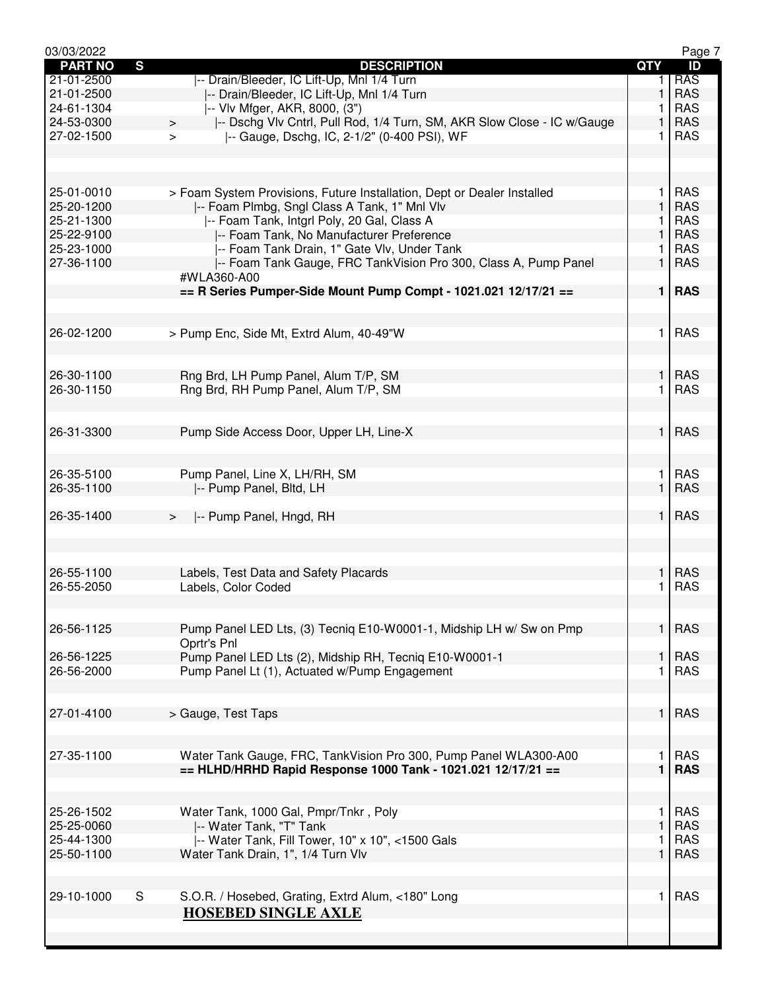| 03/03/2022       |                                                                                   |                | Page 7     |
|------------------|-----------------------------------------------------------------------------------|----------------|------------|
| <b>PART NO</b>   | $\mathbf{s}$<br><b>DESCRIPTION</b>                                                | <b>QTY</b>     | ID         |
| $21 - 01 - 2500$ | -- Drain/Bleeder, IC Lift-Up, Mnl 1/4 Turn                                        | 1.             | <b>RAS</b> |
| 21-01-2500       | -- Drain/Bleeder, IC Lift-Up, MnI 1/4 Turn                                        | 1              | <b>RAS</b> |
| 24-61-1304       | -- VIv Mfger, AKR, 8000, (3")                                                     | 1              | <b>RAS</b> |
| 24-53-0300       | -- Dschg Vlv Cntrl, Pull Rod, 1/4 Turn, SM, AKR Slow Close - IC w/Gauge<br>$\geq$ | 1              | <b>RAS</b> |
| 27-02-1500       | -- Gauge, Dschg, IC, 2-1/2" (0-400 PSI), WF<br>$\geq$                             | 1              | <b>RAS</b> |
|                  |                                                                                   |                |            |
|                  |                                                                                   |                |            |
|                  |                                                                                   |                |            |
| 25-01-0010       | > Foam System Provisions, Future Installation, Dept or Dealer Installed           | 1              | <b>RAS</b> |
| 25-20-1200       | -- Foam Plmbg, Sngl Class A Tank, 1" Mnl Vlv                                      | 1              | <b>RAS</b> |
| 25-21-1300       | -- Foam Tank, Intgrl Poly, 20 Gal, Class A                                        | 1              | <b>RAS</b> |
| 25-22-9100       | -- Foam Tank, No Manufacturer Preference                                          | 1              | <b>RAS</b> |
| 25-23-1000       | -- Foam Tank Drain, 1" Gate Vlv, Under Tank                                       | 1              | <b>RAS</b> |
| 27-36-1100       | -- Foam Tank Gauge, FRC TankVision Pro 300, Class A, Pump Panel                   | 1              | <b>RAS</b> |
|                  | #WLA360-A00                                                                       |                |            |
|                  | $==$ R Series Pumper-Side Mount Pump Compt - 1021.021 12/17/21 ==                 | 1 <sup>1</sup> | <b>RAS</b> |
|                  |                                                                                   |                |            |
|                  |                                                                                   |                |            |
| 26-02-1200       | > Pump Enc, Side Mt, Extrd Alum, 40-49"W                                          | 1              | <b>RAS</b> |
|                  |                                                                                   |                |            |
|                  |                                                                                   |                |            |
| 26-30-1100       | Rng Brd, LH Pump Panel, Alum T/P, SM                                              | 1              | <b>RAS</b> |
| 26-30-1150       | Rng Brd, RH Pump Panel, Alum T/P, SM                                              | 1              | <b>RAS</b> |
|                  |                                                                                   |                |            |
|                  |                                                                                   |                |            |
| 26-31-3300       | Pump Side Access Door, Upper LH, Line-X                                           | $\mathbf{1}$   | <b>RAS</b> |
|                  |                                                                                   |                |            |
|                  |                                                                                   |                |            |
| 26-35-5100       | Pump Panel, Line X, LH/RH, SM                                                     | 1              | <b>RAS</b> |
| 26-35-1100       | -- Pump Panel, Bltd, LH                                                           | 1              | <b>RAS</b> |
|                  |                                                                                   |                |            |
| 26-35-1400       | -- Pump Panel, Hngd, RH<br>$\geq$                                                 | $\mathbf{1}$   | <b>RAS</b> |
|                  |                                                                                   |                |            |
|                  |                                                                                   |                |            |
| 26-55-1100       | Labels, Test Data and Safety Placards                                             | 1              | <b>RAS</b> |
| 26-55-2050       | Labels, Color Coded                                                               | 1              | <b>RAS</b> |
|                  |                                                                                   |                |            |
|                  |                                                                                   |                |            |
| 26-56-1125       | Pump Panel LED Lts, (3) Tecniq E10-W0001-1, Midship LH w/ Sw on Pmp               | $\mathbf{1}$   | <b>RAS</b> |
|                  | Oprtr's Pnl                                                                       |                |            |
| 26-56-1225       | Pump Panel LED Lts (2), Midship RH, Tecniq E10-W0001-1                            | 1              | <b>RAS</b> |
| 26-56-2000       | Pump Panel Lt (1), Actuated w/Pump Engagement                                     | 1.             | <b>RAS</b> |
|                  |                                                                                   |                |            |
|                  |                                                                                   |                |            |
| 27-01-4100       | > Gauge, Test Taps                                                                | 1              | <b>RAS</b> |
|                  |                                                                                   |                |            |
|                  |                                                                                   |                |            |
| 27-35-1100       | Water Tank Gauge, FRC, TankVision Pro 300, Pump Panel WLA300-A00                  | 1              | <b>RAS</b> |
|                  | $==$ HLHD/HRHD Rapid Response 1000 Tank - 1021.021 12/17/21 ==                    | $\mathbf{1}$   | <b>RAS</b> |
|                  |                                                                                   |                |            |
|                  |                                                                                   |                |            |
| 25-26-1502       | Water Tank, 1000 Gal, Pmpr/Tnkr, Poly                                             | 1              | <b>RAS</b> |
| 25-25-0060       | -- Water Tank, "T" Tank                                                           | 1              | <b>RAS</b> |
| 25-44-1300       | -- Water Tank, Fill Tower, 10" x 10", <1500 Gals                                  | 1              | <b>RAS</b> |
| 25-50-1100       | Water Tank Drain, 1", 1/4 Turn Vlv                                                | $\mathbf{1}$   | <b>RAS</b> |
|                  |                                                                                   |                |            |
|                  |                                                                                   |                |            |
| 29-10-1000       | S<br>S.O.R. / Hosebed, Grating, Extrd Alum, <180" Long                            | 1              | <b>RAS</b> |
|                  | <b>HOSEBED SINGLE AXLE</b>                                                        |                |            |
|                  |                                                                                   |                |            |
|                  |                                                                                   |                |            |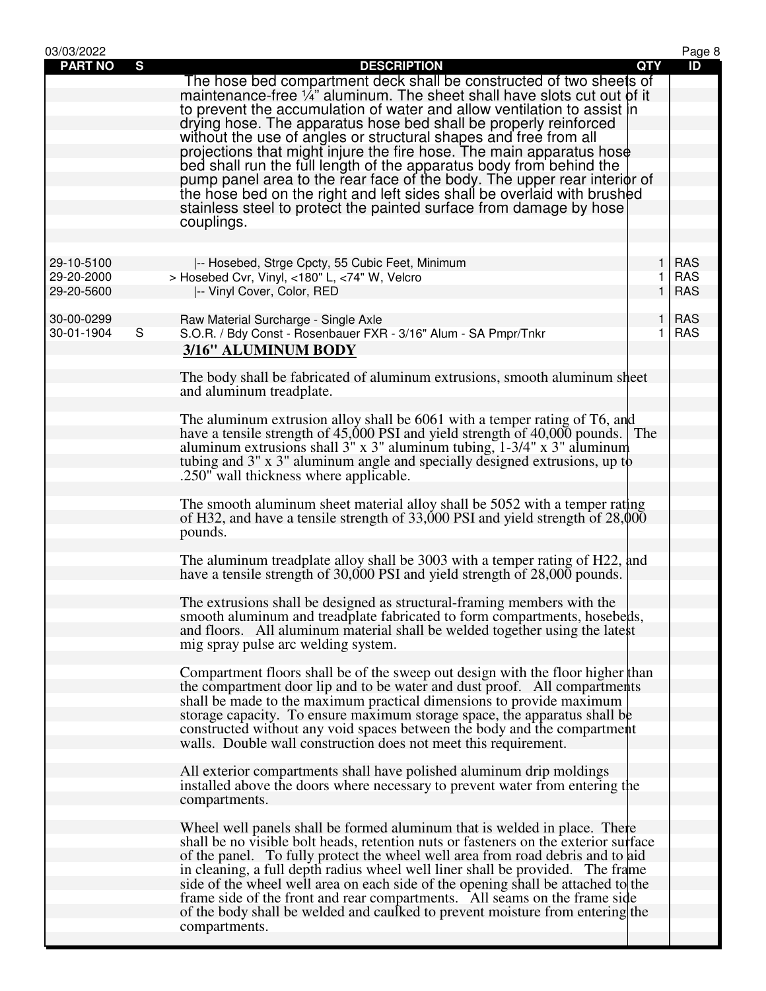| 03/03/2022     |              |                                                                                                                                                      |              | Page 8     |
|----------------|--------------|------------------------------------------------------------------------------------------------------------------------------------------------------|--------------|------------|
| <b>PART NO</b> | $\mathbf{s}$ | <b>DESCRIPTION</b>                                                                                                                                   | <b>QTY</b>   | ID         |
|                |              | The hose bed compartment deck shall be constructed of two sheets of                                                                                  |              |            |
|                |              | maintenance-free 1/4" aluminum. The sheet shall have slots cut out of it                                                                             |              |            |
|                |              | to prevent the accumulation of water and allow ventilation to assist in                                                                              |              |            |
|                |              | drying hose. The apparatus hose bed shall be properly reinforced                                                                                     |              |            |
|                |              | without the use of angles or structural shapes and free from all                                                                                     |              |            |
|                |              | projections that might injure the fire hose. The main apparatus hose                                                                                 |              |            |
|                |              | bed shall run the full length of the apparatus body from behind the                                                                                  |              |            |
|                |              | pump panel area to the rear face of the body. The upper rear interior of                                                                             |              |            |
|                |              | the hose bed on the right and left sides shall be overlaid with brushed                                                                              |              |            |
|                |              | stainless steel to protect the painted surface from damage by hose                                                                                   |              |            |
|                |              | couplings.                                                                                                                                           |              |            |
|                |              |                                                                                                                                                      |              |            |
|                |              |                                                                                                                                                      |              |            |
| 29-10-5100     |              | -- Hosebed, Strge Cpcty, 55 Cubic Feet, Minimum                                                                                                      | 1.           | <b>RAS</b> |
| 29-20-2000     |              | > Hosebed Cvr, Vinyl, <180" L, <74" W, Velcro                                                                                                        | 1.           | <b>RAS</b> |
| 29-20-5600     |              | -- Vinyl Cover, Color, RED                                                                                                                           | $\mathbf{1}$ | <b>RAS</b> |
|                |              |                                                                                                                                                      |              |            |
| 30-00-0299     |              | Raw Material Surcharge - Single Axle                                                                                                                 | 1            | <b>RAS</b> |
| 30-01-1904     | S            | S.O.R. / Bdy Const - Rosenbauer FXR - 3/16" Alum - SA Pmpr/Tnkr                                                                                      | 1.           | <b>RAS</b> |
|                |              | 3/16" ALUMINUM BODY                                                                                                                                  |              |            |
|                |              |                                                                                                                                                      |              |            |
|                |              | The body shall be fabricated of aluminum extrusions, smooth aluminum sheet                                                                           |              |            |
|                |              | and aluminum treadplate.                                                                                                                             |              |            |
|                |              | The aluminum extrusion alloy shall be 6061 with a temper rating of T6, and                                                                           |              |            |
|                |              | have a tensile strength of 45,000 PSI and yield strength of 40,000 pounds. The                                                                       |              |            |
|                |              | aluminum extrusions shall $3''$ x $3''$ aluminum tubing, $1-3/4''$ x $3''$ aluminum                                                                  |              |            |
|                |              | tubing and 3" x 3" aluminum angle and specially designed extrusions, up to                                                                           |              |            |
|                |              | .250" wall thickness where applicable.                                                                                                               |              |            |
|                |              |                                                                                                                                                      |              |            |
|                |              | The smooth aluminum sheet material alloy shall be 5052 with a temper rating                                                                          |              |            |
|                |              | of H32, and have a tensile strength of $33,000$ PSI and yield strength of $28,000$                                                                   |              |            |
|                |              | pounds.                                                                                                                                              |              |            |
|                |              |                                                                                                                                                      |              |            |
|                |              | The aluminum treadplate alloy shall be 3003 with a temper rating of H22, and                                                                         |              |            |
|                |              | have a tensile strength of 30,000 PSI and yield strength of 28,000 pounds.                                                                           |              |            |
|                |              |                                                                                                                                                      |              |            |
|                |              | The extrusions shall be designed as structural-framing members with the                                                                              |              |            |
|                |              | smooth aluminum and treadplate fabricated to form compartments, hosebeds,                                                                            |              |            |
|                |              | and floors. All aluminum material shall be welded together using the latest                                                                          |              |            |
|                |              | mig spray pulse arc welding system.                                                                                                                  |              |            |
|                |              |                                                                                                                                                      |              |            |
|                |              | Compartment floors shall be of the sweep out design with the floor higher than                                                                       |              |            |
|                |              | the compartment door lip and to be water and dust proof. All compartments                                                                            |              |            |
|                |              | shall be made to the maximum practical dimensions to provide maximum                                                                                 |              |            |
|                |              | storage capacity. To ensure maximum storage space, the apparatus shall be                                                                            |              |            |
|                |              | constructed without any void spaces between the body and the compartment                                                                             |              |            |
|                |              | walls. Double wall construction does not meet this requirement.                                                                                      |              |            |
|                |              |                                                                                                                                                      |              |            |
|                |              | All exterior compartments shall have polished aluminum drip moldings<br>installed above the doors where necessary to prevent water from entering the |              |            |
|                |              | compartments.                                                                                                                                        |              |            |
|                |              |                                                                                                                                                      |              |            |
|                |              | Wheel well panels shall be formed aluminum that is welded in place. There                                                                            |              |            |
|                |              | shall be no visible bolt heads, retention nuts or fasteners on the exterior surface                                                                  |              |            |
|                |              | of the panel. To fully protect the wheel well area from road debris and to aid                                                                       |              |            |
|                |              | in cleaning, a full depth radius wheel well liner shall be provided. The frame                                                                       |              |            |
|                |              | side of the wheel well area on each side of the opening shall be attached to the                                                                     |              |            |
|                |              | frame side of the front and rear compartments. All seams on the frame side                                                                           |              |            |
|                |              | of the body shall be welded and caulked to prevent moisture from entering the                                                                        |              |            |
|                |              | compartments.                                                                                                                                        |              |            |
|                |              |                                                                                                                                                      |              |            |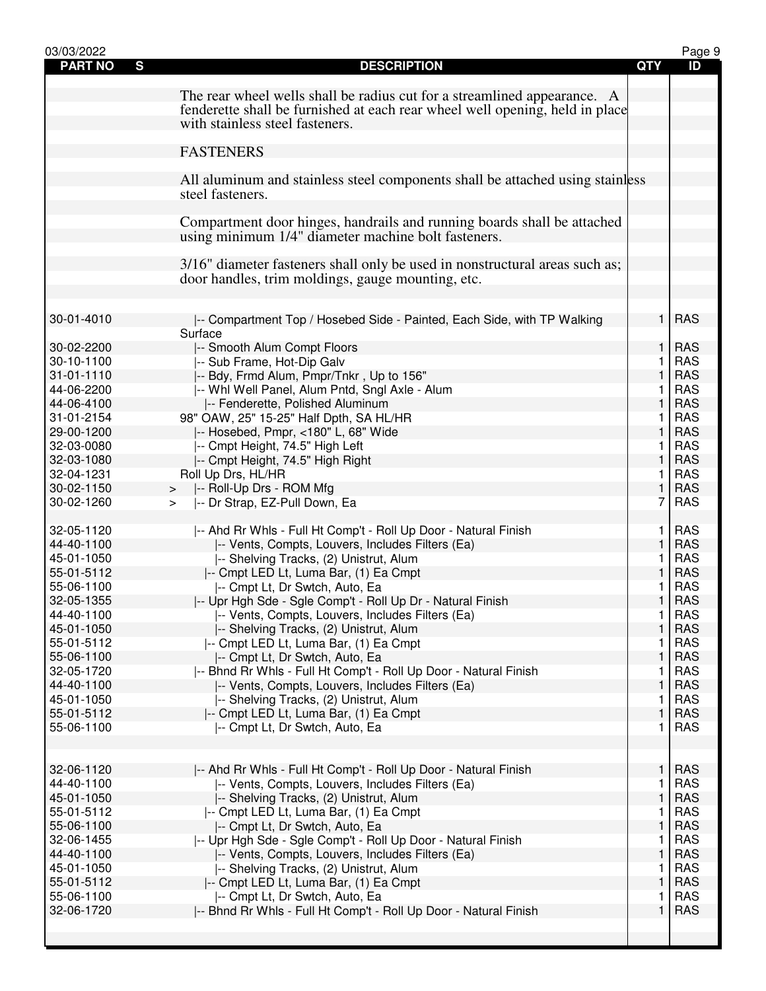| 03/03/2022               |                                                                                             |              | Page 9                   |
|--------------------------|---------------------------------------------------------------------------------------------|--------------|--------------------------|
| <b>PART NO</b><br>S      | <b>DESCRIPTION</b>                                                                          | <b>QTY</b>   | ID                       |
|                          |                                                                                             |              |                          |
|                          | The rear wheel wells shall be radius cut for a streamlined appearance. A                    |              |                          |
|                          | fenderette shall be furnished at each rear wheel well opening, held in place                |              |                          |
|                          | with stainless steel fasteners.                                                             |              |                          |
|                          |                                                                                             |              |                          |
|                          | <b>FASTENERS</b>                                                                            |              |                          |
|                          | All aluminum and stainless steel components shall be attached using stainless               |              |                          |
|                          | steel fasteners.                                                                            |              |                          |
|                          |                                                                                             |              |                          |
|                          | Compartment door hinges, handrails and running boards shall be attached                     |              |                          |
|                          | using minimum 1/4" diameter machine bolt fasteners.                                         |              |                          |
|                          |                                                                                             |              |                          |
|                          | 3/16" diameter fasteners shall only be used in nonstructural areas such as;                 |              |                          |
|                          | door handles, trim moldings, gauge mounting, etc.                                           |              |                          |
|                          |                                                                                             |              |                          |
|                          |                                                                                             |              |                          |
| 30-01-4010               | -- Compartment Top / Hosebed Side - Painted, Each Side, with TP Walking                     | 1            | <b>RAS</b>               |
|                          | Surface                                                                                     |              |                          |
| 30-02-2200               | -- Smooth Alum Compt Floors                                                                 | $\mathbf{1}$ | <b>RAS</b>               |
| 30-10-1100<br>31-01-1110 | -- Sub Frame, Hot-Dip Galv                                                                  | 1<br>1       | <b>RAS</b><br><b>RAS</b> |
| 44-06-2200               | -- Bdy, Frmd Alum, Pmpr/Tnkr, Up to 156"<br> -- Whl Well Panel, Alum Pntd, Sngl Axle - Alum | 1            | <b>RAS</b>               |
| 44-06-4100               | -- Fenderette, Polished Aluminum                                                            | 1            | <b>RAS</b>               |
| 31-01-2154               | 98" OAW, 25" 15-25" Half Dpth, SA HL/HR                                                     | 1            | <b>RAS</b>               |
| 29-00-1200               | -- Hosebed, Pmpr, <180" L, 68" Wide                                                         | 1            | <b>RAS</b>               |
| 32-03-0080               | -- Cmpt Height, 74.5" High Left                                                             | 1            | <b>RAS</b>               |
| 32-03-1080               | -- Cmpt Height, 74.5" High Right                                                            | 1            | <b>RAS</b>               |
| 32-04-1231               | Roll Up Drs, HL/HR                                                                          | 1.           | <b>RAS</b>               |
| 30-02-1150               | -- Roll-Up Drs - ROM Mfg<br>>                                                               | $\mathbf{1}$ | <b>RAS</b>               |
| 30-02-1260               | -- Dr Strap, EZ-Pull Down, Ea<br>$\geq$                                                     | 7            | <b>RAS</b>               |
|                          |                                                                                             |              |                          |
| 32-05-1120               | -- Ahd Rr Whls - Full Ht Comp't - Roll Up Door - Natural Finish                             | 1            | <b>RAS</b>               |
| 44-40-1100               | -- Vents, Compts, Louvers, Includes Filters (Ea)                                            | 1            | <b>RAS</b>               |
| 45-01-1050               | -- Shelving Tracks, (2) Unistrut, Alum                                                      | 1            | <b>RAS</b>               |
| 55-01-5112               | -- Cmpt LED Lt, Luma Bar, (1) Ea Cmpt                                                       | 1            | <b>RAS</b>               |
| 55-06-1100               | -- Cmpt Lt, Dr Swtch, Auto, Ea                                                              | 1            | <b>RAS</b>               |
| 32-05-1355               | -- Upr Hgh Sde - Sgle Comp't - Roll Up Dr - Natural Finish                                  | 1            | <b>RAS</b>               |
| 44-40-1100               | -- Vents, Compts, Louvers, Includes Filters (Ea)                                            | 1            | <b>RAS</b>               |
| 45-01-1050               | -- Shelving Tracks, (2) Unistrut, Alum                                                      | 1            | <b>RAS</b>               |
| 55-01-5112               | -- Cmpt LED Lt, Luma Bar, (1) Ea Cmpt                                                       | 1            | <b>RAS</b>               |
| 55-06-1100               | -- Cmpt Lt, Dr Swtch, Auto, Ea                                                              | 1            | <b>RAS</b>               |
| 32-05-1720               | -- Bhnd Rr Whls - Full Ht Comp't - Roll Up Door - Natural Finish                            | 1            | <b>RAS</b>               |
| 44-40-1100               | -- Vents, Compts, Louvers, Includes Filters (Ea)                                            | $\mathbf{1}$ | <b>RAS</b>               |
| 45-01-1050               | -- Shelving Tracks, (2) Unistrut, Alum                                                      | 1            | <b>RAS</b>               |
| 55-01-5112               | -- Cmpt LED Lt, Luma Bar, (1) Ea Cmpt                                                       | $\mathbf{1}$ | <b>RAS</b>               |
| 55-06-1100               | -- Cmpt Lt, Dr Swtch, Auto, Ea                                                              | 1            | <b>RAS</b>               |
|                          |                                                                                             |              |                          |
| 32-06-1120               | -- Ahd Rr Whls - Full Ht Comp't - Roll Up Door - Natural Finish                             | 1            | <b>RAS</b>               |
| 44-40-1100               | -- Vents, Compts, Louvers, Includes Filters (Ea)                                            | 1            | <b>RAS</b>               |
| 45-01-1050               | -- Shelving Tracks, (2) Unistrut, Alum                                                      | $\mathbf{1}$ | <b>RAS</b>               |
| 55-01-5112               | -- Cmpt LED Lt, Luma Bar, (1) Ea Cmpt                                                       | 1            | <b>RAS</b>               |
| 55-06-1100               | -- Cmpt Lt, Dr Swtch, Auto, Ea                                                              | 1            | <b>RAS</b>               |
| 32-06-1455               | -- Upr Hgh Sde - Sgle Comp't - Roll Up Door - Natural Finish                                | 1            | <b>RAS</b>               |
| 44-40-1100               | -- Vents, Compts, Louvers, Includes Filters (Ea)                                            | 1            | <b>RAS</b>               |
| 45-01-1050               | -- Shelving Tracks, (2) Unistrut, Alum                                                      | 1            | <b>RAS</b>               |
| 55-01-5112               | -- Cmpt LED Lt, Luma Bar, (1) Ea Cmpt                                                       | 1            | <b>RAS</b>               |
| 55-06-1100               | -- Cmpt Lt, Dr Swtch, Auto, Ea                                                              | 1            | <b>RAS</b>               |
| 32-06-1720               | -- Bhnd Rr Whls - Full Ht Comp't - Roll Up Door - Natural Finish                            | 1            | <b>RAS</b>               |
|                          |                                                                                             |              |                          |
|                          |                                                                                             |              |                          |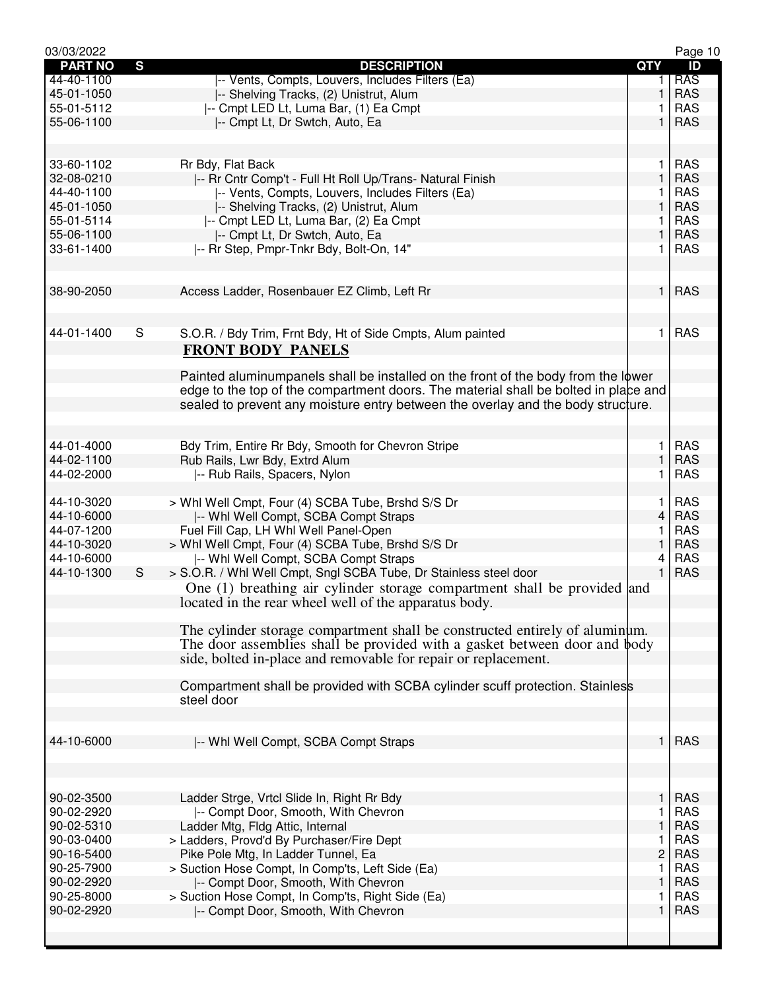| 03/03/2022               |   |                                                                                     |                | Page 10                  |
|--------------------------|---|-------------------------------------------------------------------------------------|----------------|--------------------------|
| <b>PART NO</b>           | S | <b>DESCRIPTION</b>                                                                  | <b>QTY</b>     | ID                       |
| 44-40-1100               |   | -- Vents, Compts, Louvers, Includes Filters (Ea)                                    | 1.             | <b>RAS</b>               |
| 45-01-1050               |   | -- Shelving Tracks, (2) Unistrut, Alum                                              | 1              | <b>RAS</b>               |
| 55-01-5112               |   | -- Cmpt LED Lt, Luma Bar, (1) Ea Cmpt                                               |                | <b>RAS</b>               |
| 55-06-1100               |   | -- Cmpt Lt, Dr Swtch, Auto, Ea                                                      | 1              | <b>RAS</b>               |
|                          |   |                                                                                     |                |                          |
| 33-60-1102               |   | Rr Bdy, Flat Back                                                                   | 1              | <b>RAS</b>               |
| 32-08-0210               |   | -- Rr Cntr Comp't - Full Ht Roll Up/Trans- Natural Finish                           | $\mathbf{1}$   | <b>RAS</b>               |
| 44-40-1100               |   | -- Vents, Compts, Louvers, Includes Filters (Ea)                                    | 1              | <b>RAS</b>               |
| 45-01-1050               |   | -- Shelving Tracks, (2) Unistrut, Alum                                              | 1              | <b>RAS</b>               |
| 55-01-5114               |   | -- Cmpt LED Lt, Luma Bar, (2) Ea Cmpt                                               | 1              | <b>RAS</b>               |
| 55-06-1100               |   | -- Cmpt Lt, Dr Swtch, Auto, Ea                                                      | 1              | <b>RAS</b>               |
| 33-61-1400               |   | -- Rr Step, Pmpr-Tnkr Bdy, Bolt-On, 14"                                             | 1              | <b>RAS</b>               |
|                          |   |                                                                                     |                |                          |
|                          |   |                                                                                     |                |                          |
| 38-90-2050               |   | Access Ladder, Rosenbauer EZ Climb, Left Rr                                         | $\mathbf{1}$   | <b>RAS</b>               |
|                          |   |                                                                                     |                |                          |
| 44-01-1400               | S | S.O.R. / Bdy Trim, Frnt Bdy, Ht of Side Cmpts, Alum painted                         | 1              | <b>RAS</b>               |
|                          |   | <b>FRONT BODY PANELS</b>                                                            |                |                          |
|                          |   |                                                                                     |                |                          |
|                          |   | Painted aluminumpanels shall be installed on the front of the body from the lower   |                |                          |
|                          |   | edge to the top of the compartment doors. The material shall be bolted in place and |                |                          |
|                          |   | sealed to prevent any moisture entry between the overlay and the body structure.    |                |                          |
|                          |   |                                                                                     |                |                          |
|                          |   |                                                                                     |                |                          |
| 44-01-4000<br>44-02-1100 |   | Bdy Trim, Entire Rr Bdy, Smooth for Chevron Stripe                                  | 1<br>1         | <b>RAS</b><br><b>RAS</b> |
| 44-02-2000               |   | Rub Rails, Lwr Bdy, Extrd Alum                                                      | 1              | <b>RAS</b>               |
|                          |   | -- Rub Rails, Spacers, Nylon                                                        |                |                          |
| 44-10-3020               |   | > Whl Well Cmpt, Four (4) SCBA Tube, Brshd S/S Dr                                   | 1.             | <b>RAS</b>               |
| 44-10-6000               |   | -- Whi Well Compt, SCBA Compt Straps                                                | 4              | <b>RAS</b>               |
| 44-07-1200               |   | Fuel Fill Cap, LH Whl Well Panel-Open                                               | 1              | <b>RAS</b>               |
| 44-10-3020               |   | > Whl Well Cmpt, Four (4) SCBA Tube, Brshd S/S Dr                                   | 1              | <b>RAS</b>               |
| 44-10-6000               |   | -- Whi Well Compt, SCBA Compt Straps                                                | 4              | <b>RAS</b>               |
| 44-10-1300               | S | > S.O.R. / Whl Well Cmpt, Sngl SCBA Tube, Dr Stainless steel door                   | $\mathbf{1}$   | <b>RAS</b>               |
|                          |   | One (1) breathing air cylinder storage compartment shall be provided and            |                |                          |
|                          |   | located in the rear wheel well of the apparatus body.                               |                |                          |
|                          |   |                                                                                     |                |                          |
|                          |   | The cylinder storage compartment shall be constructed entirely of aluminum.         |                |                          |
|                          |   | The door assemblies shall be provided with a gasket between door and body           |                |                          |
|                          |   | side, bolted in-place and removable for repair or replacement.                      |                |                          |
|                          |   | Compartment shall be provided with SCBA cylinder scuff protection. Stainless        |                |                          |
|                          |   | steel door                                                                          |                |                          |
|                          |   |                                                                                     |                |                          |
|                          |   |                                                                                     |                |                          |
| 44-10-6000               |   | -- Whi Well Compt, SCBA Compt Straps                                                | 1              | <b>RAS</b>               |
|                          |   |                                                                                     |                |                          |
|                          |   |                                                                                     |                |                          |
| 90-02-3500               |   | Ladder Strge, Vrtcl Slide In, Right Rr Bdy                                          | 1              | <b>RAS</b>               |
| 90-02-2920               |   | -- Compt Door, Smooth, With Chevron                                                 | 1              | <b>RAS</b>               |
| 90-02-5310               |   | Ladder Mtg, Fldg Attic, Internal                                                    | 1              | <b>RAS</b>               |
| 90-03-0400               |   | > Ladders, Provd'd By Purchaser/Fire Dept                                           | 1              | <b>RAS</b>               |
| 90-16-5400               |   | Pike Pole Mtg, In Ladder Tunnel, Ea                                                 | $\overline{c}$ | <b>RAS</b>               |
| 90-25-7900               |   | > Suction Hose Compt, In Comp'ts, Left Side (Ea)                                    | 1              | <b>RAS</b>               |
| 90-02-2920               |   | -- Compt Door, Smooth, With Chevron                                                 | 1              | <b>RAS</b>               |
| 90-25-8000               |   | > Suction Hose Compt, In Comp'ts, Right Side (Ea)                                   | 1              | <b>RAS</b>               |
| 90-02-2920               |   | -- Compt Door, Smooth, With Chevron                                                 | 1              | <b>RAS</b>               |
|                          |   |                                                                                     |                |                          |
|                          |   |                                                                                     |                |                          |